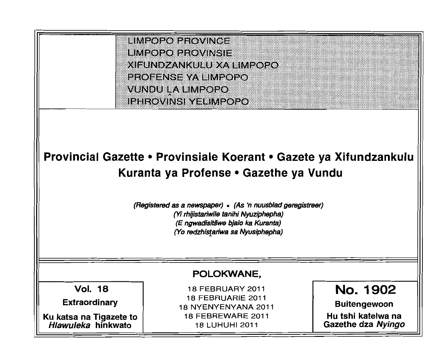

# Provincial Gazette • Provinsiale Koerant • Gazete ya Xifundzankulu Kuranta ya Profense • Gazethe ya Vundu

(Registered as a newspaper) • (As 'n nuusb/ad geregistreer) (Yi rhijistariwi/e tanihi Nyuziphepha) (E ngwadisitšwe bjalo ka Kuranta) (Yo redzhistariwa sa Nyusiphepha)

Vol. 18 **Extraordinary** 

Ku katsa na Tigazete to Hlawuleka hinkwato

 FEBRUARY 2011 FEBRUARIE 2011 NYENYENYANA 2011 FEBREWARE 2011 LUHUHI 2011

POLOKWANE,

No. 1902

Buitengewoon

Hu tshi katelwa na Gazethe dza Nyingo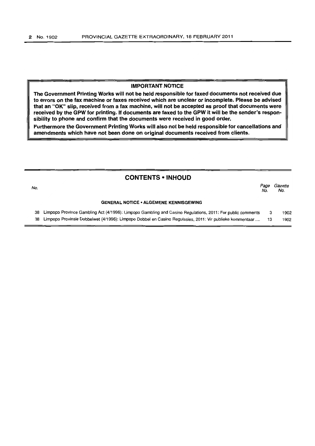#### **IMPORTANT NOTICE**

**The Government Printing Works will not be held responsible for faxed documents not received due to errors on the fax machine or faxes received which are unclear or incomplete. Please be advised that an** "OK" **slip, received from a fax machine, will not be accepted as proof that documents were received by the GPW for printing. If documents are faxed to the GPW it will be the sender's responsibility to phone and confirm that the documents were received in good order.**

**Furthermore the Government Printing Works will also not be held responsible for cancellations and amendments which have not been done on original documents received from clients.**

# **CONTENTS • INHOUD**

| No. |                                                                                                            | Page<br>No. | Gazette<br>No. |
|-----|------------------------------------------------------------------------------------------------------------|-------------|----------------|
|     | <b>GENERAL NOTICE • ALGEMENE KENNISGEWING</b>                                                              |             |                |
| 38  | Limpopo Province Gambling Act (4/1996): Limpopo Gambling and Casino Regulations, 2011: For public comments |             | 1902           |
| 38  | Limpopo Provinsie Dobbelwet (4/1996): Limpopo Dobbel en Casino Regulasies, 2011: Vir publieke kommentaar   |             | 1902           |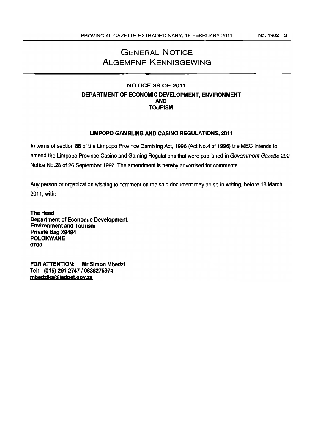# GENERAL NOTICE ALGEMENE KENNISGEWING

# NOTICE 38 OF 2011 DEPARTMENT OF ECONOMIC DEVELOPMENT, ENVIRONMENT AND **TOURISM**

# LIMPOPO GAMBLING AND CASINO REGULATIONS, 2011

In terms of section 88 of the Limpopo Province Gambling Act, 1996 (Act No.4 of 1996) the MEC intends to amend the Limpopo Province Casino and Gaming Regulations that were published in Government Gazette 292 Notice No.28 of 26 September 1997. The amendment is hereby advertised for comments.

Any person or organization wishing to comment on the said document may do so in writing, before 18 March 2011, with:

The Head Department of Economic Development, Environment and Tourism Private Bag X9484 POLOKWANE 0700

FOR ATTENTION: Mr Simon Mbedzi Tel: (015) 2912747/0836275974 mbedziks@ledget.gov.za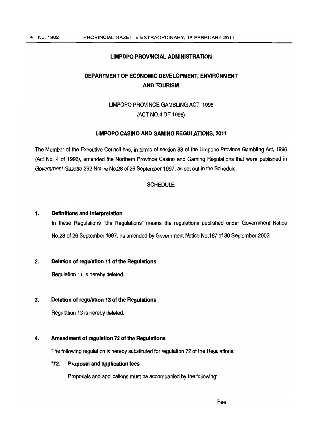#### LIMPOPO PROVINCIAL ADMINISTRATION

# DEPARTMENT OF ECONOMIC DEVELOPMENT, ENVIRONMENT AND TOURISM

# LIMPOPO PROVINCE GAMBLING ACT, 1996 (ACT NO.4 OF 1996)

#### LIMPOPOCASINO AND GAMING REGULATIONS, 2011

The Member of the Executive Council has, in terms of section 88 of the Limpopo Province Gambling Act, 1996 (Act No.4 of 1996), amended the Northern Province Casino and Gaming Regulations that were published in Government Gazette 292 Notice No.28 of 26 September 1997, as set out in the Schedule.

#### **SCHEDULE**

#### 1. Definitions and Interpretation

In these Regulations "the Regulations" means the regulations published under Government Notice No.28 of 26 September 1997, as amended by Government Notice No.167 of 30 September 2002.

# 2. Deletion of regulation 11 of the Regulations

Regulation 11 is hereby deleted.

# 3. Deletion of regulation 13 of the Regulations

Regulation 13 is hereby deleted.

## 4. Amendment of regulation 72of the Regulations

The following regulation is hereby substituted for regulation 72 of the Regulations:

# "72. Proposal and application fees

Proposals and applications must be accompanied by the following: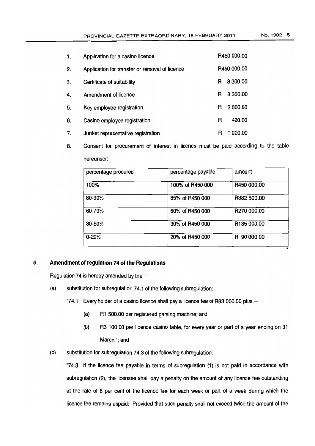| 1. | Application for a casino licence               |   | R450 000.00 |
|----|------------------------------------------------|---|-------------|
| 2. | Application for transfer or removal of licence |   | R450 000.00 |
| 3. | Certificate of suitability                     | R | 8 300.00    |
| 4. | Amendment of licence                           | R | 8 300.00    |
| 5. | Key employee registration                      | R | 2 000.00    |
| 6. | Casino employee registration                   | R | 420.00      |
| 7. | Junket representative registration             | R | 000.00      |

8. Consent for procurement of interest in licence must be paid according to the table hereunder:

| percentage procured | percentage payable | amount                  |
|---------------------|--------------------|-------------------------|
| 100%                | 100% of R450 000   | R450 000.00             |
| 80-90%              | 85% of R450 000    | R382 500.00             |
| 60-79%              | 60% of R450 000    | R <sub>270</sub> 000.00 |
| 30-59%              | 30% of R450 000    | R <sub>135</sub> 000.00 |
| $0 - 29%$           | 20% of R450 000    | R 90 000.00             |

# 5. **Amendment ofregulation 74oftheRegulations**

Regulation 74 is hereby amended by the  $-$ 

(a) substitution for subregulation 74.1 of the following subregulation:

"74.1 Every holder of a casino licence shall pay a licence fee of R83 000.00 plus  $-$ 

- (a) R1 500.00 perregistered gaming machine; and
- (b) R3 100.00 per licence casino table, for every yearor part of a year ending on 31 March."; and
- (b) substitution for subregulation  $74.3$  of the following subregulation:

"74.3 If the licence fee payable in terms of subregulation (1) is not paid in accordance with subregulation (2), the licensee shall pay a penalty on the amount of any licence fee outstanding at the rate of 8 per cent of the licence fee for each week or part of a week during which the licence fee remains unpaid: Provided that such penalty shall not exceed twice the amount of the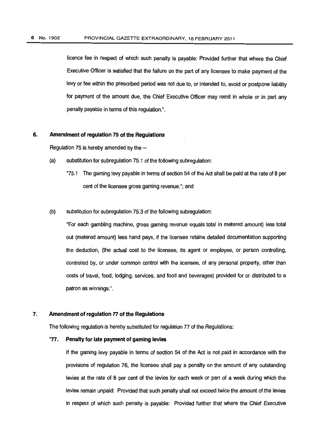licence fee in respect of which such penalty is payable: Provided further that where the Chief Executive Officer is satisfied that the failure on the part of any licensee to make payment of the levy or fee within the prescribed period was not due to, or intended to, avoid or postpone liability for payment of the amount due, the Chief Executive Officer may remit in whole or in part any penalty payable in terms of this regulation.".

#### 6. Amendment of regulation 75of the Regulations

Regulation 75 is hereby amended by the  $-$ 

- $(a)$  substitution for subregulation 75.1 of the following subregulation:
	- "75.1 The gaming levy payable in terms of section 54 of the Act shall be paid at the rate of 8 per cent of the licensee gross gaming revenue."; and

#### (b) substitution for subregulation 75.3 of the following subregulation:

"For each gambling machine, gross gaming revenue equals total in metered amount) less total out (metered amount) less hand pays, if the licensee retains detailed documentation supporting the deduction, (the actual cost to the licensee, its agent or employee, or person controlling, controlled by, or under common control with the licensee, of any personal property, other than costs of travel, food, lodging, services, and food and beverages) provided for or distributed to a patron as winnings.".

#### 7. Amendment of regulation 77 of the Regulations

The following regulation is hereby substituted for regulation 77 of the Regulations:

#### "77. Penalty for late payment of gaming levies

If the gaming levy payable in terms of section 54 of the Act is not paid in accordance with the provisions of regulation 76, the licensee shall pay a penalty on the amount of any outstanding levies at the rate of 8 per cent of the levies for each week or part of a week during which the levies remain unpaid: Provided that such penalty shall not exceed twice the amount of the levies in respect of which such penalty is payable: Provided further that where the Chief Executive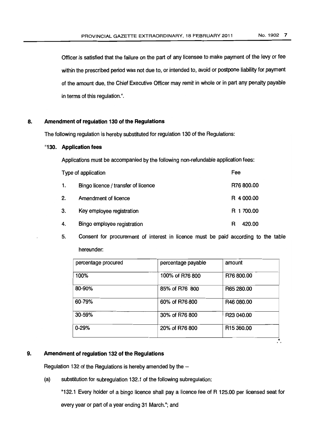Officer is satisfied that the failure on the part of any licensee to make payment of the levy or fee within the prescribed period was not due to, or intended to, avoid or postpone liability for payment of the amount due, the Chief Executive Officer may remit in whole or in part any penalty payable in terms of this regulation.".

#### 8. **Amendment of regulation 130of the Regulations**

The following regulation is hereby substituted for regulation 130 of the Regulations:

#### "130. **Application fees**

Applications must be accompanied by the following non-refundable application fees:

|    | Type of application                 | Fee         |
|----|-------------------------------------|-------------|
| 1. | Bingo licence / transfer of licence | R76 800.00  |
| 2. | Amendment of licence                | R 4 000.00  |
| 3. | Key employee registration           | R 1 700.00  |
| 4. | Bingo employee registration         | 420.00<br>R |

5. Consent for procurement of interest in licence must be paid according to the table hereunder:

| percentage procured | percentage payable | amount                     |
|---------------------|--------------------|----------------------------|
| 100%                | 100% of R76 800    | R76 800.00                 |
| 80-90%              | 85% of R76 800     | R65 280.00                 |
| 60-79%              | 60% of R76 800     | R46 080.00                 |
| 30-59%              | 30% of R76 800     | R23 040.00                 |
| $0 - 29%$           | 20% of R76 800     | R <sub>15</sub> 360.00<br> |

# 9. **Amendment ofregulation 132of the RegUlations**

Regulation 132 of the Regulations is hereby amended by the  $-$ 

(a) substitution for subregulation 132.1 of the following subregulation:

"132.1 Every holder of a bingo licence shall pay a licence fee of R 125.00 per licensed seatfor every year or part of a year ending 31 March."; and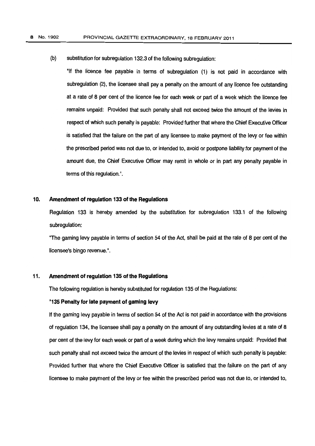(b) substitution for subregulation 132.3 of the following subregulation:

"If the licence fee payable in terms of subregulation (1) is not paid in accordance with subregulation (2), the licensee shall pay a penalty on the amount of any licence fee outstanding at a rate of 8 per cent of the licence fee for each week or part of a week which the licence fee remains unpaid: Provided that such penalty shall not exceed twice the amount of the levies in respect of which such penalty is payable: Provided further thatwhere theChief Executive Officer is satisfied that the failure on the part of any licensee to make payment of the levy or fee within the prescribed period was not due to, or intended to, avoid or postpone liability for payment of the amount due, the Chief Executive Officer may remit in whole or in part any penalty payable in terms of this regulation.".

#### 10. Amendment of regulation 133of the Regulations

Regulation 133 is hereby amended by the substitution for subregulation 133.1 of the following subregulation:

"The gaming levy payable in terms of section 54 of the Act, shall be paid at the rate of 8 per cent of the licensee's bingo revenue.".

# 11. Amendment of regulation 135 of the Regulations

The following regulation is hereby substituted for regulation 135 of the Regulations:

#### "135 Penalty for late payment of gaming levy

If the gaming levy payable in terms of section 54 of the Act is not paid in accordance with the provisions of regulation 134, the licensee shall pay a penalty on the amount of any outstanding levies at a rate of 8 per cent of the levy for each week or part of a week during which the levy remains unpaid: Provided that such penalty shall not exceed twice the amount of the levies in respect of which such penalty is payable: Provided further that where the Chief Executive Officer is satisfied that the failure on the part of any licensee to make payment of the levy or fee within the prescribed period was not due to, or intended to,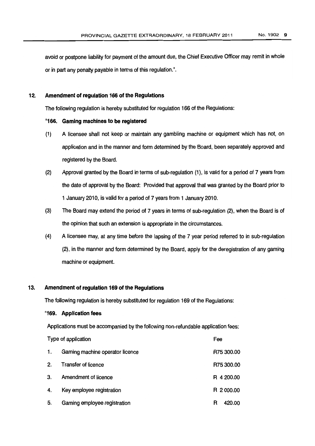avoid or postpone liability for payment of the amount due, the Chief Executive Officer may remit in whole or in part any penalty payable in terms of this regulation.".

#### 12. Amendment of regulation 166 of the Regulations

The following regulation is hereby substituted for regulation 166 of the Regulations:

#### "166. **Gaming machines to be registered**

- (1) A licensee shall not keep or maintain any gambling machine or equipment which has not, on application and in the manner and form determined by the Board, been separately approved and registered by the Board.
- (2) Approval granted bythe Board in terms of sub-regulation (1), is valid for a period of 7 years from the date of approval by the Board: Provided that approval that was granted by the Board prior to 1 January 2010, is valid for a period of 7 years from 1 January 2010.
- (3) The Board mayextend the period of 7 years in terms of sub-regulation (2), when the Board is of the opinion that such an extension is appropriate in the circumstances.
- (4) A licensee may, at any time before the lapsing of the 7 year period referred to in sub-regulation (2), in the manner and form determined by the Board, apply for the deregistration of any gaming machine or equipment.

# 13. Amendment of regulation 169 of the Regulations

The following regulation is hereby substituted for regulation 169 of the Regulations:

# "169. **Application fees**

Applications must be accompanied by the following non-refundable application fees:

| Type of application |                                 | Fee         |
|---------------------|---------------------------------|-------------|
| 1.                  | Gaming machine operator licence | R75 300.00  |
| 2.                  | <b>Transfer of licence</b>      | R75 300.00  |
| 3.                  | Amendment of licence            | R 4 200.00  |
| 4.                  | Key employee registration       | R 2000.00   |
| 5.                  | Gaming employee registration    | 420.00<br>R |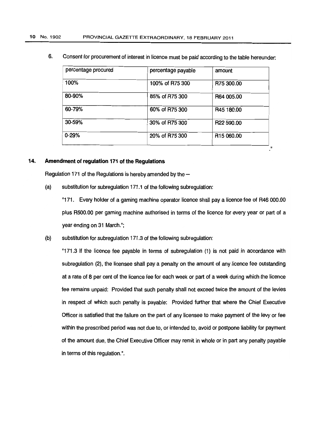6. Consent for procurement of interest in licence must be paid according to the table hereunder:

| percentage procured | percentage payable | amount                 |
|---------------------|--------------------|------------------------|
| 100%                | 100% of R75 300    | R75 300.00             |
| 80-90%              | 85% of R75 300     | R64 005.00             |
| 60-79%              | 60% of R75 300     | R45 180.00             |
| 30-59%              | 30% of R75 300     | R22 590.00             |
| $0 - 29%$           | 20% of R75 300     | R <sub>15</sub> 060.00 |

# 14. Amendment of regulation 171 of the Regulations

Regulation 171 of the Regulations is hereby amended by the  $-$ 

(a) substitution for subregulation 171.1 of the following subregulation:

"171. Every holder of a gaming machine operator licence shall pay a licence fee of R46 000.00 plus R500.00 per gaming machine authorised in terms of the licence for every year or part of a year ending on 31 March.";

 $(b)$  substitution for subregulation 171.3 of the following subregulation:

"171.3 If the licence fee payable in terms of subregulation (1) is not paid in accordance with subregulation (2), the licensee shall pay a penalty on the amount of any licence fee outstanding at a rate of 8 per cent of the licence fee for each week or part of a week during which the licence fee remains unpaid: Provided that such penalty shall not exceed twice the amount of the levies in respect of which such penalty is payable: Provided further that where the Chief Executive Officer is satisfied that the failure on the part of any licensee to make payment of the levy or fee within the prescribed period was not due to, or intended to, avoid or postpone liability for payment of the amount due, the ChiefExecutive Officer mayremitin whole or in part any penalty payable in terms of this regulation.".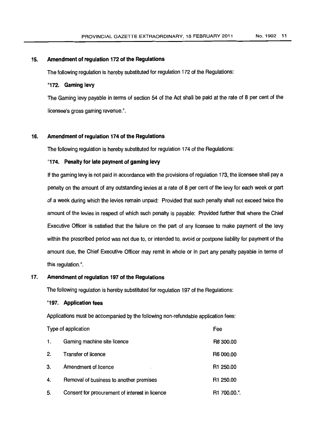#### 15. Amendment of regulation 172 of the Regulations

The following regulation is hereby substituted for regulation 172 of the Regulations:

#### "172. Gaming levy

The Gaming levy payable in terms of section 54 of the Act shall be paid at the rate of 8 per cent of the licensee's gross gaming revenue.",

# 16. Amendment of regulation 174 of the Regulations

The following regulation is hereby substituted for regulation 174 of the Regulations:

# "174. Penalty for late payment of gaming levy

If the gaming levy is not paid in accordance with the provisions of regulation 173, the licensee shall pay a penalty onthe amount of anyoutstanding levies at a rate of 8 per cent ofthe levyfor each week or part of a week during which the levies remain unpaid: Provided that such penalty shall notexceed twice the amount of the levies in respect of which such penalty is payable: Provided further that where the Chief Executive Officer is satisfied that the failure on the part of any licensee to make payment of the levy within the prescribed period was not due to, or intended to, avoid or postpone liability for payment of the amount due, the Chief Executive Officer may remit in whole or in part any penalty payable in terms of this regulation.".

# 17. Amendment of regulation 197 of the Regulations

The following regulation is hereby substituted for regulation 197 of the Regulations:

#### "197. Application fees

Applications must be accompanied by the following non-refundable application fees:

| Type of application |                                                | Fee          |
|---------------------|------------------------------------------------|--------------|
| 1.                  | Gaming machine site licence                    | R8 300.00    |
| 2.                  | <b>Transfer of licence</b>                     | R6 000.00    |
| З.                  | Amendment of licence<br>$\epsilon_{\rm s}$     | R1 250.00    |
| 4.                  | Removal of business to another premises        | R1 250.00    |
| 5.                  | Consent for procurement of interest in licence | R1 700.00.". |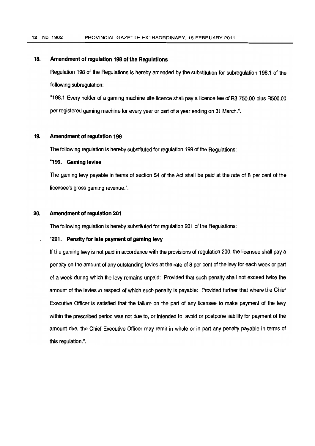## 18. Amendment of regulation 198of the Regulations

Regulation 198 of the Regulations is hereby amended by the substitution for subregulation 198.1 of the following subregulation:

"198.1 Every holder of a gaming machine sitelicence shall paya licence fee of R3 750.00 plus R500.00 per registered gaming machine for every year or part of a year ending on 31 March.".

# 19. Amendment of regulation 199

The following regulation is hereby substituted for regulation 199 of the Regulations:

#### "199. Gaming levies

The gaming levy payable in terms of section 54 of the Act shall be paid at the rate of 8 per cent of the licensee's gross gaming revenue.".

# 20. Amendment of regulation 201

The following regulation is hereby substituted for regulation 201 of the Regulations:

#### "201. Penalty for late payment of gaming levy

If the gaming levy is not paid in accordance with the provisions of regulation 200, the licensee shall pay a penalty onthe amount of anyoutstanding levies at the rate of 8 percent of thelevyfor each week or part of a week during which the levy remains unpaid: Provided that such penalty shall not exceed twice the amount of the levies in respect of which such penalty is payable: Provided further that where the Chief Executive Officer is satisfied that the failure on the part of any licensee to make payment of the levy within the prescribed period was not due to, or intended to, avoid or postpone liability for payment of the amount due, the Chief Executive Officer mayremit in whole or in part any penalty payable in terms of this regulation.",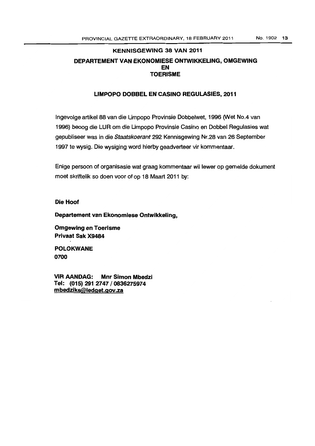# KENNISGEWING 38 VAN 2011 DEPARTEMENT VAN EKONOMIESE ONTWIKKELlNG, OMGEWING EN TOERISME

# liMPOPO DOBBEl EN CASINO REGULASIES, 2011

Ingevolge artikel 88 van die Limpopo Provinsie Dobbelwet, 1996 (Wet No.4 van 1996) beoog die LUR om die Limpopo Provinsie Casino en Dobbel Regulasies wat gepubliseer was in die Staatskoerant 292 Kennisgewing Nr.28 van 26 September 1997 te wysig. Die wysiging word hierby geadverteer vir kommentaar.

Enige persoon of organisasie wat graag kommentaar wi! lewer op gemelde dokument moet skriftelik so doen voor of op 18 Maart 2011 by:

# Die Hoof

Departement van Ekonomiese Ontwikkeling,

Omgewing en Toerisme Privaat Sak X9484

POlOKWANE 0700

VIR AANDAG: Mnr Simon Mbedzi Tel: (015) 291 2747/0836275974 mbedziks@ledget.gov.za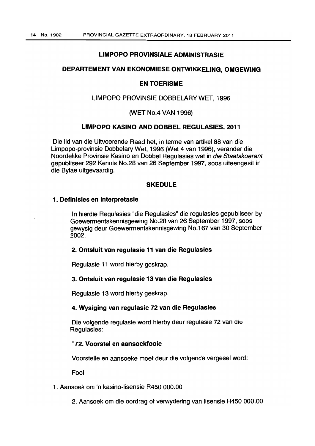## LIMPOPO PROVINSIALE ADMINISTRASIE

# DEPARTEMENT VAN EKONOMIESE ONTWIKKELlNG, OMGEWING

#### EN TOERISME

# LIMPOPO PROVINSIE DOBBELARY WET, 1996

# (WET No.4 VAN 1996)

# LIMPOPO KASINO AND DOBBEL REGULASIES, 2011

Die lid van die Uitvoerende Raad het, in terme van artikel 88 van die Limpopo-provinsie Dobbelary Wet, 1996 (Wet 4 van 1996), verander die Noordelike Provinsie Kasino en Dobbel Regulasies wat in die Staatskoerant gepubliseer 292 Kennis NO.28 van 26 September 1997, soos uiteengesit in die Bylae uitgevaardig.

# **SKEDULE**

#### 1. Definisies en interpretasie

In hierdie Regulasies "die Regulasies" die regulasies gepubliseer by Goewermentskennisgewing NO.28 van 26 September 1997, soos gewysig deur Goewermentskennisgewing No.167 van 30 September 2002.

#### 2. Ontsluit van regulasie 11 van die Regulasies

Regulasie 11 word hierby geskrap.

# 3. Ontsluit van regulasie 13 van die Regulasies

Regulasie 13 word hierby geskrap.

# 4. Wysiging van regulasie 72 van die Regulasies

Die volgende regulasie word hierby deur regulasie 72 van die Regulasies:

# "72. Voorstel en aansoekfooie

Voorstelle en aansoeke moet deur die volgende vergesel word:

Fooi

# 1. Aansoek om 'n kasino-lisensie R450 000.00

2. Aansoek om die oordrag of verwydering van Iisensie R450 000.00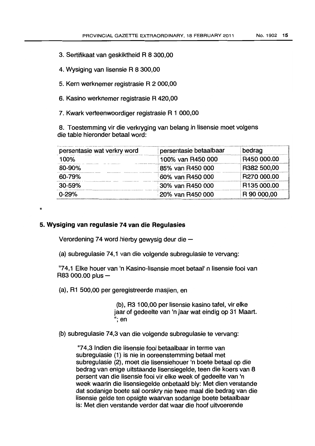- 3. Sertifikaat van geskiktheid R 8 300,00
- 4. Wysiging van Iisensie R 8 300,00
- 5. Kern werknemer registrasie R 2 000,00
- 6. Kasino werknemer registrasie R 420,00
- 7. Kwark verteenwoordiger registrasie R 1 000,00

8. Toestemming vir die verkryging van belang in Iisensie moet volgens die table hieronder betaal word:

| persentasie wat verkry word | persentasie betaalbaar | bedrag      |
|-----------------------------|------------------------|-------------|
| 100%                        | 100% van R450 000      | R450 000.00 |
| 80-90%                      | 85% van R450 000       | R382 500,00 |
| 60-79%                      | 60% van R450 000       | R270 000.00 |
| 30-59%                      | 30% van R450 000       | R135 000.00 |
| $0 - 29%$                   | 20% van R450 000       | R 90 000,00 |

"

#### **5. Wysiging van regulasie 74 van die Regulasies**

Verordening 74 word hierby gewysig deur die  $-$ 

(a) subregulasie 74,1 van die volgende subregu/asie te vervang:

'74,1 Elke houer van 'n Kasino-lisensie moet betaal' n Iisensie fooi van R83 000.00 plus -

(a), R1 500,00 per geregistreerde masjlen, en

(b), R3 100,00 per lisensie kasino tafel, vir elke jaar of gedeelte van 'n jaar wat eindig op 31 Maart. "; en

(b) subregulasie 74,3 van die volgende subregulasie te vervang:

"74,3 Indien die lisensie fooi betaalbaar in terme van subregulasie (1) is nie in ooreenstemming betaal met subregulasie (2), moet die lisensiehouer 'n boete betaal op die bedrag van enige uitstaande Iisensiegelde, teen die koers van 8 persent van die lisensie fooi vir elke week of gedeelte van 'n week waarin die lisensiegelde onbetaald bly: Met dien verstande dat sodanige boete sal oorskry nie twee maal die bedrag van die lisensie gelde ten opsigte waarvan sodanige boete betaalbaar is: Met dien verstande verder dat waar die hoof uitvoerende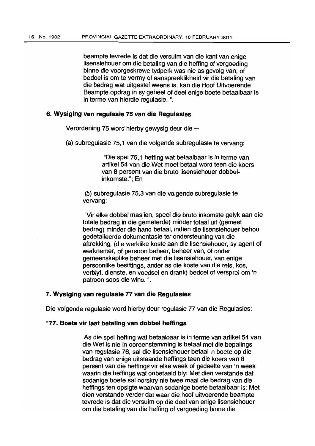beampte tevrede is dat die versuim van die kant van enige lisensiehouer om die betaling van die hefting of vergoeding binne die voorgeskrewe tydperk was nie as gevolg van, of bedoel is om te vermy of aanspreeklikheid vir die betaling van die bedrag wat uitgestel weens is, kan die Hoof Uitvoerende Beampte opdrag in sy geheel of deel enige boete betaalbaar is in terme van hierdie regulasie. ".

# 6. **Wysiging van regulasie 75 van die Regulasies**

Verordening 75 word hierby gewysig deur die  $-$ 

(a) subregulasie 75,1 van die volgende subregulasie te vervang:

"Die spel 75,1 hefting wat betaalbaar is in terme van artikel 54 van die Wet moet betaal word teen die koers van 8 persent van die bruto Iisensiehouer dobbelinkomste."; En

(b) subregulasie 75,3 van die volgende subregulasie te vervang:

"Vir elke dobbel masjien, speel die bruto inkomste gelyk aan die totale bedrag in die gemeterde) minder totaal uit (gemeet bedrag) minder die hand betaal, indien die Iisensiehouer behou gedetaileerde dokumentasie ter ondersteuning van die aftrekking, (die werklike koste aan die Iisensiehouer, sy agent of werknemer, of persoon beheer, beheer van, of onder gemeenskaplike beheer met die lisensiehouer, van enige persoonlike besittings, ander as die koste van die reis, kos, verblyf, dienste, en voedsel en drank) bedoel of versprei om 'n patroon soos die wins. ".

#### 7. **Wysiging van regulasie 77 van die Regulasies**

Die volgende regulasie word hierby deur regulasie 77 van die Regulasies:

# "77. **Boete vir laat betaling van dobbel heffings**

As die spel hefting wat betaalbaar is in terme van artikel 54 van die Wet is nie in ooreenstemming is betaal met die bepalings van regulasie 76, sal die lisensiehouer betaal 'n boete op die bedrag van enige uitstaande heftings teen die koers van 8 persent van die heffings vir elke week of gedeelte van 'n week waarin die heftings wat onbetaald bly: Met dien verstande dat sodanige boete sal oorskry nie twee maal die bedrag van die heftings ten opsigte waarvan sodanige boete betaalbaar is: Met dien verstande verder dat waar die hoof uitvoerende beampte tevrede is dat die versuim op die deel van enige Iisensiehouer om die betaling van die he'ffing of vergoeding binne die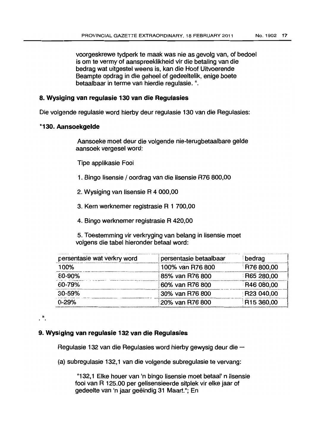voorgeskrewe tydperk te maak was nie as gevolg van, of bedoel is om te vermy of aanspreeklikheid vir die betaling van die bedrag wat uitgestel weens is, kan die Hoof Uitvoerende Beampte opdrag in die geheel of gedeeltelik, enige boete betaalbaar in terme van hierdie regulasie.".

# **8. Wysiging van regulasie 130 van die Regulasies**

Die volqende regulasie word hierby deur regulasie 130 van die Regulasies:

# "130. **Aimsoekgelde**

 $\cdot$ <sup>n</sup>.

Aansoeke moet deur die volgende nie-terugbetaalbare gelde aansoek vergesel word:

Tipe applikasie Fooi

- 1. Bingo lisensie / oordrag van die Iisensie R76 800,00
- 2. Wysiging van Iisensie R 4 000,00
- 3. Kern werknemer registrasie R 1 700,00
- 4. Bingo werknemer registrasie R 420,00
- 5. Toestemming vir verkryging van belang in lisensie moet volgens die tabel hieronder betaal word:

| persentasie wat verkry word | persentasie betaalbaar | bedrag            |
|-----------------------------|------------------------|-------------------|
| 100%                        | 100% van R76 800       | R76 800,00        |
| 80-90%                      | 85% van R76 800        | R65 280,00        |
| $60 - 79%$                  | 60% van R76 800        | <b>R46 080,00</b> |
| $30 - 59%$                  | 30% van R76 800        | FR23 040,00       |
| $0 - 29%$                   | 20% van R76 800        | R15 360,00        |

# 9. **Wysiging van regulasie 132 van die Regulasies**

Hegulasie 132 van die Regulasies word hierby gewysig deur die -

(a) subregulasie 132,1 van die volgende subregulasie te vervang:

"132,1 Elke houer van 'n bingo lisensie moet betaal' n lisensie fooi van R 125.00 per gelisensieerde sitplek vir elke jaar of gedeelte van 'n jaar geëindig 31 Maart."; En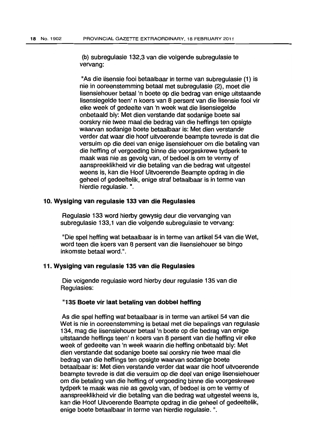(b) subregulasie 132,3 van die volgende subregulasie te vervang:

"As die lisensie fooi betaalbaar in terme van subregulasie (1) is nie in ooreenstemming betaal met subregulasie (2), moet die lisensiehouer betaal'n boete op die bedrag van enige uitstaande Iisensiegelde teen' n koers van 8 persent van die Iisensie fooi vir elke week of gedeelte van 'n week wat die Iisensiegelde onbetaald bly: Met dien verstande dat sodanige boete sal oorskry nie twee maal die bedrag van die heftings ten opsigte waarvan sodanige boete betaalbaar is: Met dien verstande verder dat waar die hoof uitvoerende beampte tevrede is dat die versuim op die deel van enige lisensiehouer om die betaling van die hefting of vergoeding binne die voorgeskrewe tydperk te maak was nie as gevolg van, of bedoel is om te vermy of aanspreeklikheid vir die betaling van die bedrag wat uitgestel weens is, kan die Hoof Uitvoerende Beampte opdrag in die geheel of gedeeltelik, enige straf betaalbaar is in terme van hierdie regulasie. ".

# 10. Wysiging van regulasie 133 van die Regulasies

Regulasie 133 word hierby gewysig deur die vervanging van subregulasie 133,1 van die volgende subregulasie te vervang:

"Die spel hefting wat betaalbaar is in terme van artikel 54 van die Wet, word teen die koers van 8 persent van die Iisensiehouer se bingo inkomste betaal word.".

# 11. Wysiging van regulasie 135 van die Regulasies

Die volgende regulasie word hierby deur regulasie 135 van die Regulasies:

#### "135 Boete vir laat betaling van dobbel heffing

As die spel hefting wat betaalbaar is in terme van artikel 54 van die Wet is nie in ooreenstemming is betaal met die bepalings van regulasie 134, mag die lisensiehouer betaal'n boete op die bedrag van enige uitstaande heftings teen' n koers van 8 persent van die hefting vir elke week of gedeelte van 'n week waarin die hefting onbetaald bly: Met dien verstande dat sodanige boete sal oorskry nie twee maal die bedrag van die heftings ten opsigte waarvan sodanige boete betaalbaar is: Met dien verstande verder dat waar die hoof uitvoerende beampte tevrede is dat die versuim op die deel van enige Iisensiehouer om die betaling van die hefting of vergoeding binne die voorgeskrewe tydperk te maak was nie as gevolg van, of bedoel is om te vermy of aanspreeklikheid vir die betaling van die bedrag wat uitgestel weens is, kan die Hoof Uitvoerende Beampte opdrag in die geheel of gedeeltelik, enige boete betaalbaar in terme van hierdie regulasie. ".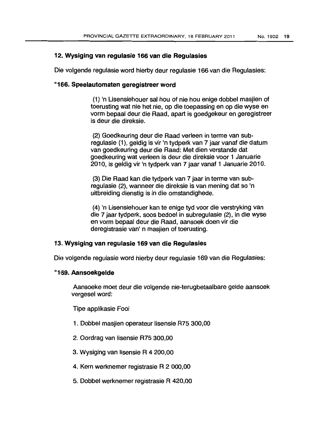# 12. **Wysiging van regulasie 166 van die Regulasies**

Die volgende regulasie word hierby deur regulasie 166 van die Regulasies:

# "16i6. **Speelautomaten geregistreer word**

(1) In Lisensiehouer sal hou of nie hou enige dobbel masjien of toerusting wat nie het nie, op die toepassing en op die wyse en vorm bepaal deur die Raad, apart is goedgekeur en geregistreer is deur die direksie.

(2) Goedkeuring deur die Raad verleen in terme van subregulasie (1), geldig is vir 'n tydperk van 7 jaar vanaf die datum van goedkeuring deur die Raad: Met dien verstande dat goedkeuring wat verleen is deur die direksie voor 1 Januarie 2010, is geldig vir 'n tydperk van 7 jaar vanaf 1 Januarie 2010.

(3) Die Raad kan die tydperk van 7 jaar in terme van subregulasie (2), wanneer die direksie is van mening dat so 'n uitbreiding dienstig is in die omstandighede.

(4) In Lisensiehouer kan te enige tyd voor die verstryking van die 7 jaar tydperk, soos bedoel in subregulasie (2), in die wyse en vorm bepaal deur die Raad, aansoek doen vir die deregistrasie van' n masjien of toerusting.

# 13. **Wysiging van regulasie 169 van die Regulasies**

Die volgende regulasie word hierby deur regulasie 169 van die Regulasies:

# "1159. **Aansoekgelde**

Aansoeke moet deur die volgende nie-terugbetaalbare gelde aansoek vergesel word:

Tipe applikasie Fooi

- 1. Dobbel masjien operateur lisensie R75 300,00
- 2. Oordrag van lisensie R75 300,00
- 3. Wysiging van lisensie R 4 200,00
- 4. Kern werknemer registrasie R 2 000,00
- 5. Dobbel werknemer registrasie R 420,00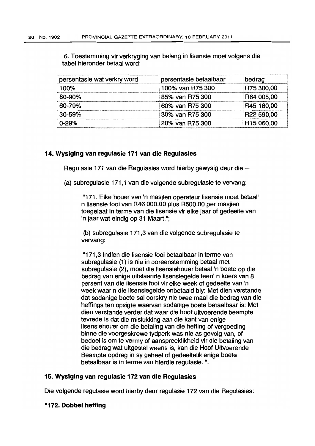6. Toestemming vir verkryging van belang in Iisensie moet volgens die tabel hieronder betaal word:

| persentasie wat verkry word | persentasie betaalbaar | bedrag                 |
|-----------------------------|------------------------|------------------------|
| 100%                        | 100% van R75 300       | R75 300,00             |
| 80-90%                      | 85% van R75 300        | R64 005,00             |
| 60-79%                      | 60% van R75 300        | R45 180,00             |
| 30-59%                      | 30% van R75 300        | R22 590,00             |
| $0 - 29%$                   | 20% van R75 300        | R <sub>15</sub> 060,00 |

# 14. Wysiging van regulasie 171 van die Regulasies

Regulasie 171 van die Regulasies word hierby gewysig deur die  $-$ 

(a) subregulasie 171,1 van die volgende subregulasie te vervang:

"171. Elke houer van 'n masjien operateur lisensie moet betaal' n Iisensie fooi van R46 000.00 plus R500.00 per masjien toegelaat in terme van die lisensie vir elke jaar of gedeelte van In jaar wat eindig op 31 Maart.";

(b) subregulasie 171,3 van die volgende subregulasie te vervang:

"171,3 Indien die lisensie fooi betaalbaar in terme van subregulasie (1) is nie in ooreenstemming betaal met subregulasie (2), moet die lisensiehouer betaal 'n boete op die bedrag van enige uitstaande Iisensiegelde teen' n koers van 8 persent van die Iisensie fooi vir elke week of gedeelte van 'n week waarin die Iisensiegelde onbetaald bly: Met dien verstande dat sodanige boete sal oorskry nie twee maal die bedrag van die heffings ten opsigte waarvan sodanige boete betaalbaar is: Met dien verstande verder dat waar die hoof uitvoerende beampte tevrede is dat die mislukking aan die kant van enige Iisensiehouer om die betaling van die heffing of vergoeding binne die voorgeskrewe tydperk was nie as gevolg van, of bedoel is om te vermy of aanspreeklikheid vir die betaling van die bedrag wat uitgestel weens is, kan die Hoof Uitvoerende Beampte opdrag in sy geheel of gedeeltelik enige boete betaalbaar is in terme van hierdie regulasie. '',

# 15. Wysiging van regulasie 172 van die Regulasies

Die volgende regulasie word hierby deur regulasie 172 van die Regulasies:

# "172. Dobbel heffing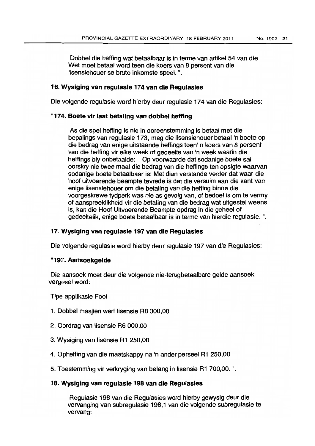Dobbel die hefting wat betaalbaar is in terme van artikel 54 van die Wet moet betaal word teen die koers van 8 persent van die lisensiehouer se bruto inkomste speel. ".

# 16. 'Vysiging van regulasie 174 van die Regulasies

Die volgende regulasie word hierby deur regulasie 174 van die Regulasies:

# 11174. Boete vir laat betaling van dobbel hefting

As die spel hefting is nie in ooreenstemming is betaal met die bepalings van regulasie 173, mag die Iisensiehouer betaal'n boete op die bedrag van enige uitstaande hetfings teen' n koers van 8 persent van die heffing vir elke week of gedeelte van 'n week waarin die heftings bly onbetaalde: Op voorwaarde dat sodanige boete sal oorskry nie twee maal die bedrag van die heftings ten opsigte waarvan sodanige boete betaalbaar is: Met dien verstande verder dat waar die hoof uitvoerende beampte tevrede is dat die versuim aan die kant van enige lisensiehouer om die betaling van die hefting binne die voorgeskrewe tydperk was nie as gevolg van, of bedoel is om te vermy of aanspreeklikheid vir die betaling van die bedrag wat uitgestel weens is, kan die Hoof Uitvoerende Beampte opdrag in die geheel of gedeeltelik, enige boete betaalbaar is in terme van hierdie regulasie. ".

# 17. Wysiging van regulasie 197 van die Regulasies

Die volgende regulasie word hierby deur regulasie 197 van die Regulasies:

# "197. Aansoekgelde

Die aansoek moet deur die volgende nie-terugbetaalbare gelde aansoek vergesel word:

Tipe applikasie Fooi

- 1. Dobbel masjien wert Iisensie R8 300,00
- 2. Oordrag van lisensie R6 000.00
- 3. VVysiging van lisensie R1 250,00
- 4. Opheffing van die maatskappy na 'n ander perseel R1 250,00
- 5. Toestemming vir verkryging van belang in lisensie R1 700,00.".

# 18. Wysiging van regulasie 198 van die Regulasies

Regulasie 198 van die Regulasies word hierby gewysig deur die vervanging van subregulasie 198,1 van die volgende subregulasie te vervang: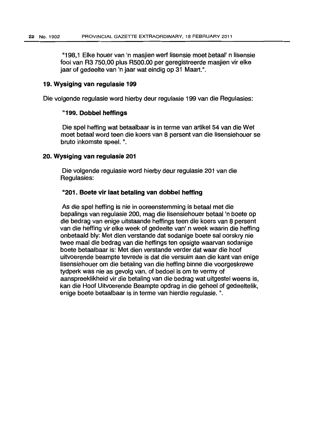"198,1 Elke houer van 'n masjien werf lisensie moet betaal' n lisensie fooi van R3 750,00 plus R500.00 per geregistreerde masjien vir elke jaar of gedeelte van 'n jaar wat eindig op 31 Maart.".

# 19. Wysiging van regulasie 199

Die volgende regulasie word hierby deur regulasie 199 van die Regulasies:

## "199. Dobbel heffings

Die spel heffing wat betaalbaar is in terme van artikel 54 van die Wet moet betaal word teen die koers van 8 persent van die lisensiehouer se bruto inkomste spee!. ".

# 20. Wysiging van regulasie 201

Die volgende regulasie word hierby deur regulasie 201 van die Regulasies:

# "201. Boete vir laat betaling van dobbel heffing

As die spel hefting is nie in ooreenstemming is betaal met die bepalings van regulasie 200, mag die Iisensiehouer betaal 'n boete op die bedrag van enige uitstaande heftings teen die koers van 8 persent van die heffing vir elke week of gedeelte van' n week waarin die hefting onbetaald bly: Met dien verstande dat sodanige boete sal oorskry nie twee maal die bedrag van die heftings ten opsigte waarvan sodanige boete betaalbaar is: Met dien verstande verder dat waar die hoof uitvoerende beampte tevrede is dat die versuim aan die kant van enige Iisensiehouer om die betaling van die hefting binne die voorgeskrewe tydperk was nie as gevolg van, of bedoel is om te vermy of aanspreeklikheid vir die betaling van die bedrag wat uitgestel weens is, kan die Hoof Uitvoerende Beampte opdrag in die geheel of gedeeltelik, enige boete betaalbaar is in terme van hierdie regulasie. ".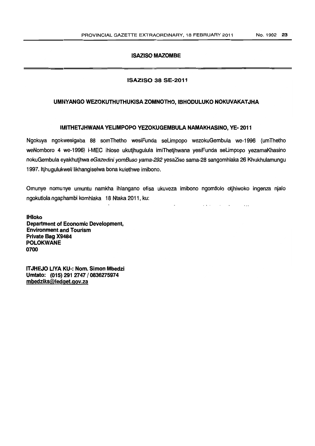# ISAZISO MAZOMBE

# ISAZISO 38 SE-2011

# UMNYANGO WEZOKUTHUTHUKISA ZOMNOTHO, IBHODULUKO NOKUVAKATJHA

# IMITHETJHWANA YELIMPOPO YEZOKUGEMBULA NAMAKHASINO, YE-2011

Ngokuya ngokwesigaba 88 somThetho wesiFunda seLimpopo wezokuGembula we-1996 (umThetho weNomboro 4 we-1996) i-MEC ihlose ukutjhugulula imiThetjhwana yesiFunda seUmpopo yezamaKhasino nokuGembula eyakhutjhwa eGazedini yomBuso yama-292 yesaZiso sama-28 sangomhlaka 26 Khukhulamungu 1997. Itjhugulukweli Iikhangiselwabona kulethwe imibono.

Omunye nomunye umuntu namkha ihlangano efisa ukuveza imibono ngomtlolo otjhiwoko ingenza njalo ngokutlola ngaphambi komhlaka 18 Ntaka 2011, ku:

 $\sim$   $\sim$ 

 $\sim 10^{-11}$  k  $^{-1}$ 

 $\ddotsc$ 

**IHloko** Department of Economic Development, Environment and Tourism Private Bag X9484 POLOKWANE 0700

ITJHEJO L1YAKU-: Nom. Simon Mbedzi Umtato: (015) 291 2747/0836275974 mbedziks@ledget.gov.za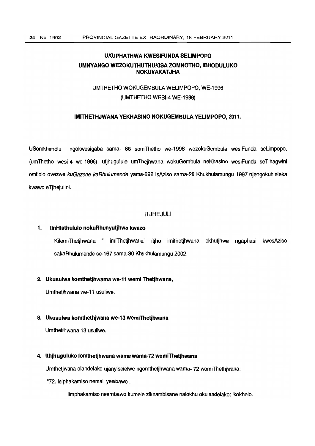# UKUPHATHWA KWESIFUNDA SELIMPOPO UMNYANGO WEZOKUTHUTHUKISA ZOMNOTHO, IBHODULUKO NOKUVAKATJHA

# UMTHETHO WOKUGEMBULA WELIMPOPO, WE-1996 (UMTHETHO WESI-4 WE-1996)

# IMITHETHJWANA YEKHASINO NOKUGEMBULA YELIMPOPO, 2011.

USomkhandlu ngokwesigaba sama- 88 somThetho we-1996 wezokuGembula wesiFunda seLimpopo, (umThetho wesi-4 we-1996), utjhugulule umThejhwana wokuGembula neKhasino wesiFunda seTlhagwini omtlolo ovezwe kuGazede kaRhulumende yama-292 isAziso sama-28 Khukhulamungu 1997 njengokuhleleka kwawo eTjhejulini.

# **ITJHEJULI**

#### 1. IinHlathululo nokuRhunyutjhwa kwazo

KilemiThetjhwana " imiThetjhwana" itjho imithetjhwana ekhutjhwe ngaphasi kwesAziso sakaRhulumende se-167 sama-30 Khukhulamungu 2002.

#### 2. Ukusulwa komthetjhwama we-11 wemi Thetjhwana,

Umthetjhwana we-11 usuliwe.

#### 3. Ukusulwa komthethjwana we-13wemiThetjhwana

Umthetjhwana 13 usuliwe.

#### 4. Ithjhuguluko lomthetjhwana wama wama-72 wemiThetjhwana

Umthetjwana olandelako ujanyiselelwe ngomthetjhwana wama-72 womiThethiwana:

"72. Isiphakamiso nemali yesibawo .

limphakamiso neembawo kumele zikhambisane nalokhu okulandelako: ikokhelo.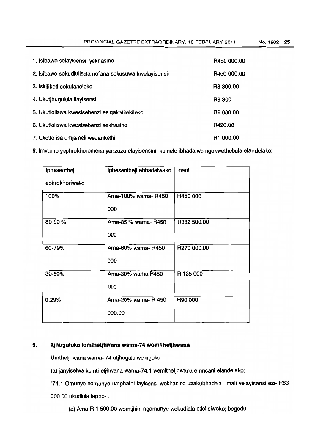PROVINCIAL GAZETTE EXTRAORDINARY, 18 FEBRUARY 2011 No. 1902 25

| 1. Isibawo selayisensi yekhasino                       | R450 000.00           |
|--------------------------------------------------------|-----------------------|
| 2. Isibawo sokudlulisela nofana sokusuwa kwelayisensi- | R450 000.00           |
| 3. Isitifiketi sokufaneleko                            | R8 300.00             |
| 4. Ukutihugulula ilayisensi                            | R8 300                |
| 5. Ukutloliswa kwesisebenzi esigakathekileko           | R <sub>2</sub> 000.00 |
| 6. Ukutloliswa kwesisebenzi sekhasino                  | R420.00               |
| 7. Ukotlolisa umjameli weJankethi                      | R <sub>1</sub> 000.00 |

8. Imvumo yephrokhoromenti yenzuzo elayisensini kumele ibhadalwe ngokwethebula elandelako:

| Iphesentheji   | iphesentheji ebhadelwako | inani       |
|----------------|--------------------------|-------------|
| ephrokhoriweko |                          |             |
| 100%           | Ama-100% wama-R450       | R450 000    |
|                | 000                      |             |
| 80-90%         | Ama-85 % wama-R450       | R382 500.00 |
|                | 000                      |             |
| 60-79%         | Ama-60% wama-R450        | R270 000.00 |
|                | 000                      |             |
| 30-59%         | Ama-30% wama R450        | R 135 000   |
|                | 000                      |             |
| 0,29%          | Ama-20% wama- R 450      | R90 000     |
|                | 000.00                   |             |

# 5. **Itjhuguluko lomthetjhwana wama-74 womThetjhwana**

Umthetjhwana wama- 74 utjhugululwe ngoku-

(a) janyiselwa komthetjhwana wama-74.1 wemithetjhwana emncani elandelako:

"74.1 Omunye nomunye umphathi layisensi wekhasino uzakubhadela imali yelayisensi ezi- R83 000.00 ukudlula lapho- .

(a) Ama-R 1 500.00 womtjhini ngamunye wokudlala otlolisiweko; begodu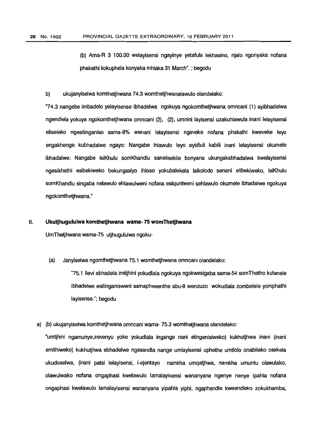(b) Ama-R 3 100.00 welayisensi ngayinye yetafula lekhasino, njalo ngonyaka nofana phakathi kokuphela konyaka mhlaka 31 March".;begodu

#### b) ukujanyiselwa komthetjhwana 74.3 womthetjhwanalawulo olandelako:

"74.3 nangebe imbadelo yelayisense ibhadelwa ngokuya ngokomthetjhwana omncani (1) ayibhadelwa ngendlela yokuya ngokomthetjhwana omncani (2), (2), umnini layisensi uzakuhlawula inani lelayisensi eliseleko ngesilinganiso sama-8% wenani lelayisensi ngeveke nofana phakathi kweveke leva engakhenge kubhadalwe ngayo: Nangabe ihlawulo leyo ayidluli kabili inani lelayisensi okumele ibhadalwe: Nangabe isiKhulu somKhandlu sanelisekile bonyana ukungakabhadalwa kwelayisensi ngesikhathi esibekiweko bekungasiyo ihloso yokubalekela isikolodo senani elibekiweko, isiKhulu somKhandlu singaba nelawulo ehlawulweni nofana esiquntweni sehlawulo okumele ibhadalwe ngokuya ngokomthetjhwana."

#### 6. **Ukutjhugululwa komthetjhwana wama- 75womThetjhwana**

UmThetjhwana wama-75 utjhugululwa ngoku-

(a) Janyiselwa ngomthetjhwana 75.1 womthetjhwana omncani olandelako:

"75.1 !levi ebhadela imitjhini yokudlala ngokuya ngokwesigaba sama-54 somThetho kufanele ibhadelwe esilinganisweni samaphesenthe abu-8 wenzuzo wokudlala zombelele yomphathi layisense."; begodu

a) (b) ukujanyiselwa komthetjhwana omncani wama- 75.3 womthetjhwana olandelako:

"umtjhini ngamunye,irevenyu yoke yokudlala ingange nani elingenisiweko) kukhutjhwa inani (inani emithiweko) kukhutjhwa ebhadelwe ngesandla nange umlayisensi uphethe umtlolo onabileko osekela ukudoselwa, (inani pats; lelayisensi, i-ejentayo namkha umqatjhwa, namkha umuntu olawulako, olawulwako nofana ongaphasi kwelawulo lamalayisensi wananyana ngenye nenye ipahla nofana ongaphasi kwelawulo lamalayisensi wananyana yipahla yiphi, ngaphandle kweendleko zokukhamba,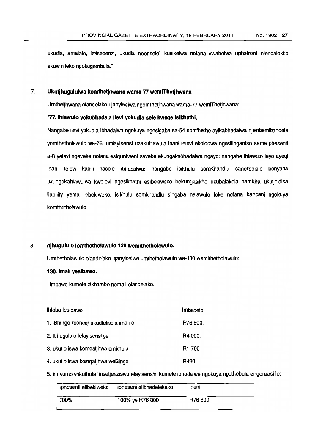ukudla, amalalo, imisebenzi, ukudla neenselo) kunikelwa nofana kwabelwa uphatroni njengalokho akuwinileko ngokugembula."

# 7. **Ukutjhugululwa komthetjhwana wama-77 wemiThetjhwana**

Umthetjhwana olandelako ujanyiselwa ngomthetjhwana wama-77 wemiThetjhwana:

#### "77. **ihlawulo yokubhadala ilevi yokudla sele kweqe isikhathi.**

Nangabe ilevi yokudla ibhadalwa ngokuya ngesigaba sa-54 somthetho ayikabhadalwa njenbemibandela yormhetholawulo wa-76, umlayisensi uzakuhlawula inani lelevi ekolodwa ngesilinganiso sama phesenti a-8 yelevi ngeveke nofana esiquntweni seveke ekungakabhadalwa ngayo: nangabe ihlawulo leva ayeqi inani lelevi kabili nasele ibhadalwa: nangabe isikhulu somKhandlu sanelisekile bonyana ukungakahlawulwa kwelevi ngesikhathi esibekiweko bekungasikho ukubalakela namkha ukutjhidisa liability yemali ebekiweko, isikhulu somkhandlu singaba nelawulo loke nofana kancani ngokuya komthetholawulo

#### 8. **itjhugululo lomthetholawulo 130wemithetholawulo.**

Umthetholawulo olandelako ujanyiselwe umthetholawulo we-130 wemithetholawulo:

# 130. Imali yesibawo.

limbawo kumele zikhambe nemali elandelako.

| Ihlobo lesibawo                          | Imbadelo            |
|------------------------------------------|---------------------|
| 1. iBhingo licence/ ukudlulisela imali e | R76 800.            |
| 2. Itihugululo lelayisensi ye            | R4 000.             |
| 3. ukutloliswa komqatjhwa omkhulu        | R <sub>1</sub> 700. |
| 4. ukutloliswa komqatjhwa weBingo        | R420.               |

5. Iimvumo yokuthola iinsetjenziswa elayisensini kumeleibhadalwe ngokuya ngethebula engenzasi Ie:

| Iphesenti elibekiweko | ipheseni alibhadelekako | inani  |
|-----------------------|-------------------------|--------|
| 100%                  | 100% ye R76 800         | R76800 |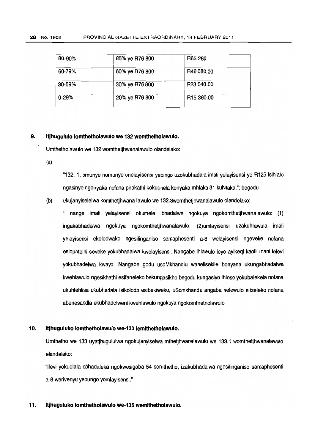| 80-90% | 85% ye R76 800 | R65 280                |  |
|--------|----------------|------------------------|--|
| 60-79% | 60% ye R76 800 | R46 080.00             |  |
| 30-59% | 30% ye R76 800 | R23 040.00             |  |
| 0-29%  | 20% ye R76 800 | R <sub>15</sub> 360.00 |  |

#### 9. Itjhugululo lomthetholawulo we 132 womthetholawulo.

Umthetholawulo we 132womthetjhwanalawulo olandelako:

(a)

"132. 1. omunye nomunye onelayisensi yebingo uzokubhadala imali yelayisensi ye R125 isihlalo ngasinye ngonyaka nofana phakathi kokuphela konyaka mhlaka 31 kuNtaka."; begodu

(b) ukujanyiselelwa komthetjhwana lawulo we 132.3womthetjhwanalawulo olandelako:

" nange imali yelayisensi okumele ibhadalwe ngokuya ngokomthetjhwanalawulo: (1) ingakabhadelwa ngokuya ngokomthetjhwanalawulo. (2)umlayisensi uzakuhlawula imali yelayisensi ekolodwako ngesilinganiso samaphesenti a-8 welayisensi ngeveke nofana esiqunteini seveke yokubhadalwa kwelayisensi. Nangabe ihlawulo leva ayikeqi kabili inani lelevi yokubhadelwa kwayo. Nangabe godu usoMkhandlu wanelisekile bonyana ukungabhadalwa kwehlawulo ngesikhathi esifaneleko bekungasikho begodu kungasiyo ihloso yokubalekela nofana ukuhlehlisa ukubhadala isikolodo esibekiweko, uSomkhandu angaba nelewulo elizeleko nofana abenesandla ekubhadelweni kwehlawulo ngokuya ngokomthetholawulo

#### 10. itjhuguluko lomthetholawulo we-133 lemithetholawulo.

Umthetho we 133 uyatjhugululwa ngokujanyiselwa mthetjhwanalawulo we 133.1 womthetjhwanalawulo elandelako:

"lIevi yokudlala ebhadaleka ngokwesigaba 54 somthetho, izakubhadalwa ngesilinganiso samaphesenti a-8werivenyu yebungo yomlayisensi."

#### 11. Itjhuguluko lomthetholawulo we-135 wemithetholawulo.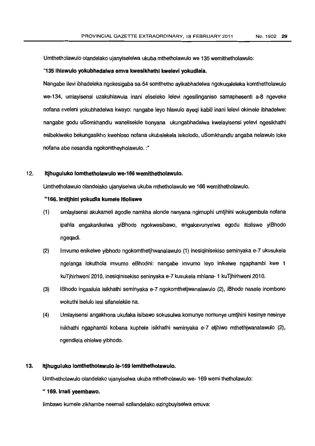Umthetholawulo olandelako ujanyiselelwa ukuba mthetholawulo we 135wemithetholawulo:

#### "135 ihlawulo yokubhadalwa emva kwesikhathi kwelevi yokudlala.

Nanqabe i1evi ibhadeleka ngokesigaba sa-54 somthetho ayikabhadelwa ngokuqaleleka komthetholawulo we-134, umlavisensi uzakuhlawula inani eliseleko lelevi ngesilinganiso samaphesenti a-8 ngeveke nofana eveleni yokubhadelwa kwayo: nangabe leyo hlawulo ayeqi kabili inani lelevi okimele ibhadelwe: nangabe godu uSomkhandlu wanelisekile bonyana ukungabhadalwa kwelayisensi yelevi ngesikhathi esibekiweko bekungasikho kwehloso nofana ukubalekela isikolodo, uSomkhandlu angaba nelawulo lake nofana abe nesandla ngokomtheyholawulo. :"

#### 12. Itjhuguluko lomthetholawulo we-166 wemithetholawulo.

Umthetholawulo olandelako ujanyiselwa ukuba mthetholawulo we 166 wemithetholawulo.

#### "166.lmitjhini yokudla kumele itloliswe

- (1) umlayisensi akukameli agodle namkha alonde nanyana ngimuphi umtjhini wokugembula nofana ipahla engakanikelwa yiBhodo ngokwesibawo, engakavunyelwa egodu itloliswe yiBhodo ngeqadi.
- (2) Irnvumo enikelwe yibhodo ngokomthetjhwanalawulo (1) inesiqinisekiso seminyaka e-7 ukusukela ngelanga lokuthola imvumo eBhodini: nangabe imvumo leyo inikelwe ngaphambi kwe 1 kuTjhirhweni 2010, inesiqinisekiso seninyaka e-7kusukela mhlana-1 kuTjhirhweni 2010.
- (3) 113hodo ingasilula isikhathi seminyaka e-7 ngokomthetjwanalawulo (2), iBhodo nasele inombono wokuthi iselulo lesi sifanelekile na.
- (4) Umlayisensi angakhona ukufaka isibawo sokusulwa komunye nomunye umtjhini kesinye nesinye islkhathi ngaphambi kobana kuphele isikhathi seminyaka e-7 etjhiwo mthethjwanalawulo (2), ngendlela ehlelwe yibhodo.

#### 13. Itjhuguluko lomthetholawulo le-169 lemithetholawulo.

Umthetholawulo olandelako ujanyiselwa ukuba mthetholawulo we- 169wemi thetholawulo:

# " 169. Irnali yeembawo.

limbawo kumele zikhambe neemali ezilandelako ezingbuyiselwa emuva: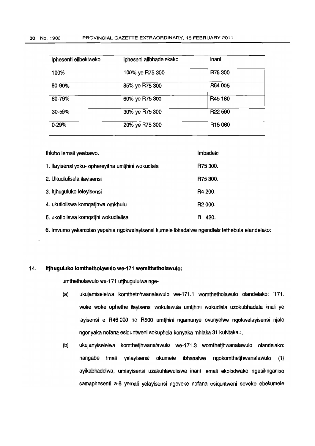| Iphesenti elibekiweko | ipheseni alibhadelekako | inani               |
|-----------------------|-------------------------|---------------------|
| 100%                  | 100% ye R75 300         | R75 300             |
| 80-90%                | 85% ye R75 300          | R64 005             |
| 60-79%                | 60% ye R75 300          | R45 180             |
| 30-59%                | 30% ye R75 300          | R22 590             |
| $0 - 29%$             | 20% ye R75 300          | R <sub>15</sub> 060 |

| Ihlobo lemali yesibawo.                            | Imbadelo            |
|----------------------------------------------------|---------------------|
| 1. Ilayisensi yoku- ophereyitha umtjhini wokudlala | R75 300.            |
| 2. Ukudlulisela ilayisensi                         | R75 300.            |
| 3. Itjhuguluko lelevisensi                         | R4 200.             |
| 4. ukutloliswa komgatihwa omkhulu                  | R <sub>2</sub> 000. |
| 5. ukotloliswa komqatjhi wokudlalisa               | 420.<br>н           |

6.lmvumo yekambiso yepahla ngokwelayisensikumele ibhadalwe ngendlela tethebula elandelako:

#### 14. **Itjhuguluko lomthetholawulo we-171 wemithetholawulo:**

umthetholawulo we-171 utjhugululwa nge-

- (a) ukujamiselelwa komthetnhwanalawulo we-171.1 womthetholawulo olandelako: "171. woke woke ophethe ilayisensi wokulawula umtjhini wokudlala uzokubhadala imali ye layisensi e R46 000 ne R500 umtjhini ngamunye ovunyelwe ngokwelayisensi njalo ngonyaka nofana esiquntweni sokuphela konyaka mhlaka 31 kuNtaka.:,
- (b) ukujanyiselelwa komthetjhwanalawulo we-171.3 womthetjhwanalawulo olandelako: nangabe imali yelayisensi okumele ibhadalwe ngokomthetjhwanalawulo (1) ayikabhadelwa, umlayisensi uzakuhlawuliswa inani lemali ekolodwako ngesilinganiso samaphesenti a-8 yemali yelayisensi ngeveke nofana esiquntweni seveke ebekumele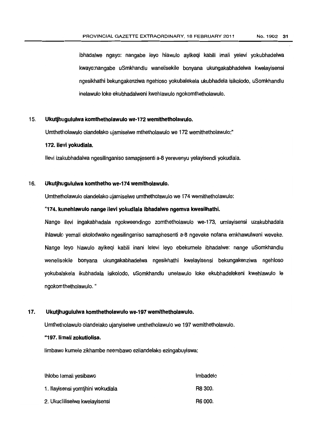ibhadalwe ngayo: nangabe leva hlawulo ayikeqi kabili imali yelevi yokubhadelwa kwayo:nangabe uSmkhandlu wanelisekile bonyana ukungakabhadelwa kwelayisensi ngesikhathi bekungakenziwa ngehloso yokubalekela ukubhadela isikolodo, uSomkhandlu inelawulo loke ekubhadalweni kwehlawulo ngokomthetholawulo.

#### 15. UkutjhUigululwa komthetholawulo we-172wemithetholawulo.

Umthetholawulo olandelako ujamiselwe mthetholawulo we 172 wemithetholawulo:"

#### 172. llevi yokudlala.

lIevi izalcubhadalwa ngesilinganiso samapjesenti a-8yerevenyu yelayisendi yokudlala.

# 16. Ukutjhugululwa komthetho we-174wemitholawulo.

Umthetholawulo olandelako ujamiselwe umthetholawulo we 174 wemithetholawulo:

#### "174.kunehlawulo nange ilevi yokudlala Ibhadalwe ngemva kwesilhathi.

Nange ilevi ingakabhadala ngokweendingo zomthetholawulo we-173, umlayisensi uzakubhadala ihlawulo yemali ekolodwako ngesilinganiso samaphesenti a-8 ngeveke nofana emkhawulweni weveke. Nange leyo hlawulo ayikeqi kabili inani lelevi leva ebekumele ibhadalwe: nange uSomkhandlu wenellsekile bonyana ukungakabhadelwa ngesikhathi kwelayisensi bekungakenziwa ngehloso yokubalakela ikubhadala isikolodo, uSomkhandlu unelawulo loke ekubhadelekeni kwehlawulo Ie ngokomthetholawulo. "

## 17. Ukutjhugululwa komthetholawulo we-197wemithetholawulo.

Umthetholawulo olandelako ujanyiselwe umthetholawulo we 197 wemithetholawulo.

#### "197.limali zokutlolisa.

limbawo kumele zikhambe neernbawo ezilandelako ezingabuyiswa:

| Ihlobo lemali yesibawo            | Imbadelo |
|-----------------------------------|----------|
| 1. Ilayisensi yomtihini wokudlala | R8 300.  |
| 2. Ukuclliliselwa kwelayisensi    | R6 000.  |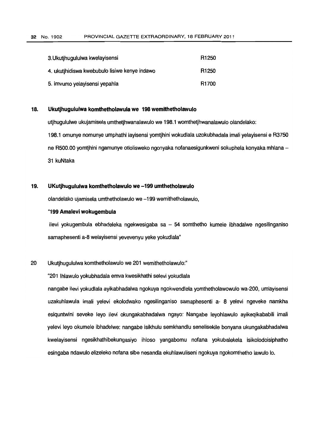| 3. Ukutihugululwa kwelayisensi                | R <sub>1250</sub> |
|-----------------------------------------------|-------------------|
| 4. ukutihidiswa kwebubulo lisiwe kenye indawo | R <sub>1250</sub> |
| 5. imvumo yelayisensi yepahla                 | R1700             |

# **18. Ukutjhugululwa komthetholawula we 198 wemithetholawulo**

utjhugululwe ukujamisela umthetjhwanalawulo we 198.1 womthetjhwanalawulo olandelako: 198.1 omunye nomunye umphathi layisensi yomtjhini wokudlala uzokubhadala imali yelayisensi e R3750 ne R500.00 yomtihini ngamunye otlolisweko ngonyaka nofanaesigunkweni sokuphela konyaka mhlana -31 kuNtaka

## **19. UKutjhugululwa komthetholawulo we-199 umthetholawulo**

olandelako ujamisela umthetholawulo we-199 wemithetholawulo,

### "199**Amalevi wokugembula**

ilevi yokugembula ebhadeleka ngekwesigaba sa - 54 somthetho kumele ibhadalwe ngesilinganiso samaphesenti a-8 welayisensi yevevenyu yeke yokudlala"

#### 20 Ukutjhugululwa komthetholawulo we201 wemithetholawulo:"

"201 Ihlawulo yokubhadala emva kwesikhathi selevi yokudlala

nangabe ilevi yokudlala ayikabhadalwa ngokuya ngokwendlela yomthetholawowulo wa-200, umlayisensi uzakuhlawula imali yelevi ekolodwako ngesilinganiso samaphesenti a- 8 yelevi ngeveke namkha esiquntwini seveke leyo ilevi okungakabhadalwa ngayo: Nangabe leyohlawulo ayikeqikababili imali yelevi leyo okumele ibhadelwe: nangabe isikhulu semkhandlu senelisekile bonyana ukungakabhadalwa kwelayisensi ngesikhathibekungasiyo ihloso yangabomu nofana yokubalekela isikolodoisiphatho esingaba ndawulo elizeleko nofana sibe nesandla ekuhlawuliseni ngakuya nqokornthetho lawula 10.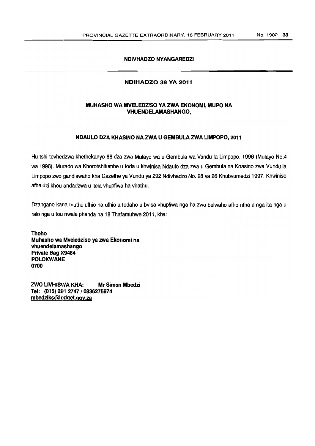# NDIVHADZO NYANGAREDZI

# NDIHADZO 38 VA 2011

# MUHASHO WA MVELEDZISO YAZWA EKONOMI, MUPO NA VHUENDELAMASHANGO,

# NDAULO DZAKHASINO NAZWA U GEMBULA ZWALIMPOPO, 2011

Hutshi tevhedzwa khethekanyo 88 dza zwa Mulayo wa u Gembula wa Vundu la Limpopo, 1996(Mulayo No.4 wa 1996). Murado wa Khorotshitumbe u toda u khwinisa Ndaulo dza zwa u Gembula na Khasino zwa Vundu la Limpopo zwo gandiswaho kha Gazethe ya Vundu ya 292 Ndivhadzo No. 28 ya 26 Khubvumedzi 1997. Khwiniso afha dzi khou andadzwa u itela vhupfiwa ha vhathu.

Dzangano kana muthu ufhio na ufhio a todaho u bvisa vhupfiwa nga ha zwo bulwaho afho ntha a nga ita nga u ralo ngau tou nwala phanda ha 18Thafamuhwe 2011 , kha:

Thoho Muhasho wa Mveledziso ya zwa Ekonomi na vhuendelamashango Private Bag X9484 **POLOKWANE** 0700

ZWO L1VHISWA KHA: Mr Simon Mbedzi Tel: (015) 2S11 2747/0836275974 mbedziks@ledget.gov.za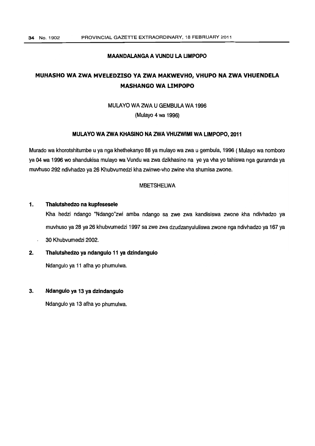# MAANDALANGAA VUNDU LA LIMPOPO

# MUHASHO WA ZWA MVELEDZISO YA ZWA MAKWEVHO, VHUPO NA ZWA VHUENDELA MASHANGO WA LIMPOPO

# MULAYO WA ZWA U GEMBULA WA 1996

(Mulayo 4 wa 1996)

#### MULAYO WA ZWA KHASINO NA ZWA VHUZWIMI WA LIMPOPO, 2011

Murado wa khorotshitumbe u ya ngakhethekanyo 88 ya mulayo wazwa u gembula, 1996 ( Mulayo wa nomboro ya 04 wa 1996 wo shandukisa mulayo wa Vundu wa zwa dzikhasino na ye ya vha yo tahiswa nga gurannda ya muvhuso 292 ndivhadzo ya 26 Khubvumedzi khazwinwe-vho zwine vhashumisa zwone.

#### MBETSHELWA

#### 1. Thalutshedzo na kupfesesele

Kha hedzi ndango "Ndango"zwi amba ndango sa zwe zwa kandisiswa zwone kha ndivhadzo ya muvhuso ya 28 ya 26 khubvumedzi 1997 sa zwe zwa dzudzanyululiswa zwone nga ndivhadzo ya 167 ya

30 Khubvumedzi 2002.

# 2. Thalutshedzo va ndangulo 11 va dzindangulo

Ndangulo ya 11 afhayo phumulwa.

#### 3. Ndangulo va 13 va dzindangulo

Ndangulo ya 13 afhayo phumulwa.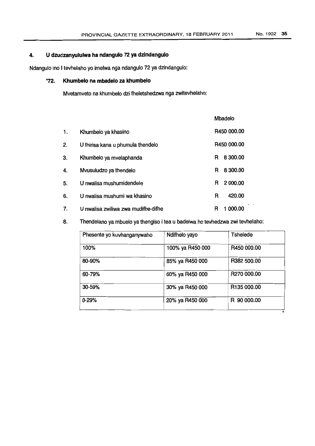# 4. U dzudzanyululwaha ndangulo 72 ya dzindangulo

Ndangulo ina I tevhelaho yo imelwa ngandangulo 72 ya dzindangulo:

# "72. Khumbelo na mbadeloza khumbelo

Mvetamveto na khumbelo dzi fheletshedzwa nga zwitevhelaho:

|    |                                     |   | <b>Mbadelo</b> |  |
|----|-------------------------------------|---|----------------|--|
| 1. | Khumbelo ya khasino                 |   | R450 000.00    |  |
| 2. | U fhirisa kana u phumula thendelo   |   | R450 000.00    |  |
| 3. | Khumbelo ya mvelaphanda             | R | 8 300,00       |  |
| 4. | Mvusuludzo ya thendelo              | R | 8 300.00       |  |
| 5. | U nwalisa mushumidendele            | R | 2 000.00       |  |
| 6. | U nwalisa mushumi wa khasino        | R | 420.00         |  |
| 7. | U nwalisa zwiliwa zwa mudifhe-difhe | R | 1 000.00       |  |

8. Thendelano ya mbuelo ya thengiso i tea u badelwa ho tevhedzwa zwi tevhelaho:

| Phesente yo kuvhanganywaho | Ndifhelo yayo    | Tshelede    |
|----------------------------|------------------|-------------|
| 100%                       | 100% ya R450 000 | R450 000.00 |
| 80-90%                     | 85% ya R450 000  | R382 500.00 |
| 60-79%                     | 60% ya R450 000  | R270 000.00 |
| 30-59%                     | 30% ya R450 000  | R135 000.00 |
| $0 - 29%$                  | 20% ya R450 000  | R 90 000.00 |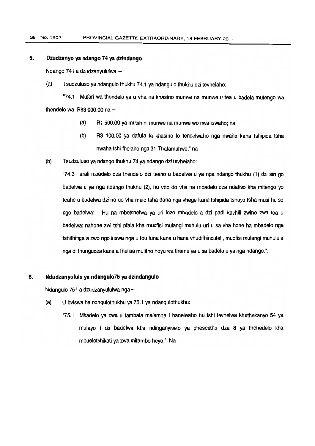# **5. Dzudzanvo va ndango 74***va* **dzindango**

Ndango 741 a dzudzanyululwa-

(a) Tsudzuluso yandangulo thukhu 74.1 ya ndangulo thukhu dzitevhelaho:

"74.1 Mutari wa thendelo ya u vha na khasino munwe na munwe u tea u badela mutengo wa thendelo wa R83 000.00 na  $-$ 

- (a) R1 500.00 ya mutshini munwe na munwe wo nwaliswaho; na
- (b) R3 100.00 ya dafula la khasino 10 tendelwaho nga nwaha kana tshipida tsha nwaha tshi fhelaho nga 31 Thafamuhwe." na
- (b) Tsudzuluso ya ndango thukhu 74 ya ndango dzi tevhelaho:

"74.3 arali mbadelo dza thendelo dzi teaho u badelwa u ya nga ndango thukhu (1) dzi sin go badelwa u ya nga ndango thukhu (2), hu vho do vha na mbadelo dza ndatiso kha mitengo yo teaho u badelwa dzi no do vha malo tsha dana nga vhege kana tshipida tshayo tsha musi hu so ngo badelwa: Hu na mbetshelwa ya uri idzo mbadelo a dzi padi kavhili zwine zwa tea u badelwa: nahone zwi tshi pfala kha muofisi mulangi muhulu uri u sa vha hone ha mbadelo nga tshifhinga a zwo ngo itiswa nga u tou funa kana u hana vhudifhinduleli, muofisi mulangi muhulu a ngadi fhungudza kana a fhelisa mulifho hoyu wathamu ya u sa badela u yangandango.".

#### **6. Ndudzanyululo** *va* **ndangulo75** *va* **dzindangulo**

Ndangulo 75 I a dzudzanyululwa nga-

- (a) U bviswa ha ndngulothukhu ya75.1 ya ndangulothukhu:
	- "75.1 Mbadelo ya zwa u tambala malamba I badelwaho hu tshi tevhelwa khethekanyo 54 ya mulayo I do badelwa kha ndinganyiselo ya phesenthe dza 8 ya thenedelo kha mbuelotshikati yazwamitambo heyo." Na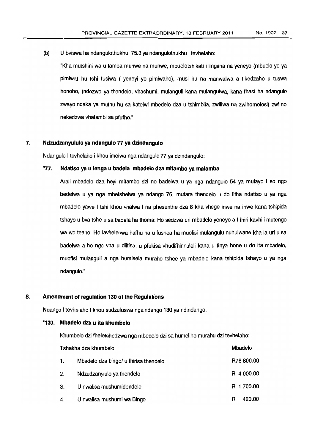$(b)$  U bviswa ha ndangulothukhu 75.3 ya ndangulothukhu i tevhelaho:

"I<ha mutshini wa u tamba munwe na munwe, mbuelotshikati i Iingana na yeneyo (mbuelo ye ya pimiwa) hu tshi tusiwa ( yeneyi yo pimiwaho), musi hu na manwalwa a tikedzaho u tuswa honoho, (ndozwo ya thendelo, vhashumi, mulanguli kana mulangulwa, kana fhasi ha ndangulo zwayo,ndaka ya muthu hu sa katelwi mbedelo dza u tshimbila, zwiliwa na zwihomolosi) zwi no nekedzwa vhatambi sa pfufho."

# 7. Ndzudzanyululo ya ndangulo 77 ya dzindangulo

Ndangulo I tevhelaho i khou imelwa ngandangulo 77 ya dzindangulo:

# "77. Ndatiso ya u lenga u badela mbadelo dza mitambo ya malamba

A.rali mbadelo dza heyi mitambo dzi no badelwa u ya nga ndangulo 54 ya mulayo I so ngo bedelwa u ya nga mbetshelwa ya ndango 76, mufara thendelo u do lifha ndatiso u ya nga mbadelo yawe I tshi khou vhalwa I na phesenthe dza 8 kha vhege inwe na inwe kana tshipida tshayo u bvatshe u sa badela ha thoma: Ho sedzwa uri mbadelo yeneyo a I fhiri kavhili mutengo wa wo teaho: Ho lavheleswa hafhu na u fushea ha muofisi mulangulu nuhulwane kha la uri u sa badelwa a ho ngo vha u diitisa, u pfukisa vhudifhinduleli kana u tinya hone u do ita mbadelo, muofisi mulanguli a nga humisela muraho tsheo ya mbadelo kana tshipida tshayo u ya nga ndanqulo."

# 8. Amendment of regulation 130 of the Regulations

Ndango I tevhelaho I khou sudzuluswa ngandango 130ya ndindango:

#### "130. Mbadelodza u Ita khumbelo

Khumbelo dzi fheletshedzwa nga mbedelo dzi sa humeliho murahu dzi tevhelaho:

|    | Tshakha dza khumbelo                  | Mbadelo     |
|----|---------------------------------------|-------------|
| 1. | Mbadelo dza bingo/ u fhirisa thendelo | R76 800.00  |
| 2. | Ndzudzanylulo ya thendelo             | R 4 000.00  |
| 3. | U nwalisa mushumidendele              | R 1 700.00  |
| 4. | U nwalisa mushumi wa Bingo            | 420.00<br>R |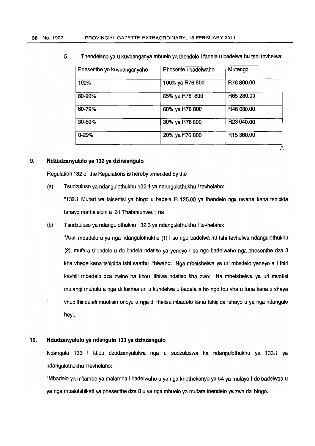| Phesenthe yo kuvhanganyaho | Phesente I badelwaho | Mutengo                |
|----------------------------|----------------------|------------------------|
| 100%                       | 100% ya R76 800      | R76 800.00             |
| 80-90%                     | 85% ya R76 800       | R65 280,00             |
| 60-79%                     | 60% ya R76 800       | R46 080.00             |
| 30-59%                     | 30% ya R76 800       | R23 040.00             |
| $0 - 29%$                  | 20% ya R76 800       | R <sub>15</sub> 360.00 |

₽.

5. Thendelano ya u kuvhanganya mbuelo yathendelo I fanela u badelwa hutshi tevhelwa:

# 9. Ndzudzanyululo ya 132 ya dzindangulo

Regulation 132 of the Regulations is hereby amended by the  $-$ 

(a) Tsudzuluso ya ndangulothukhu 132.1 ya ndangulothukhu I tevhelaho:

"132.1 Mufari wa laisentsi ya bingo u badela R 125.00 ya thendelo nga nwaha kana tshipida tshayo mafheleloni a 31 Thafamuhwe."; na

(b) Tsudzuluso ya ndangulothukhu 132.3ya ndangulothukhu I tevhelaho:

"Arali mbadelo u ya nga ndangulothukhu (1) I so ngo badelwa hu tshi tevhelwa ndangulothukhu (2), mufara thendelo u do badela ndatiso ya yeneyo I so ngo badelwaho nga phesenthe dza 8 kha vhege kana tshipida tshi saathu Iifhiwaho: Nga mbetshelwa ya uri mbadelo yeneyo a I fhiri kavhili mbadelo dza zwine ha khou Iifhiwa ndatiso kha zwo: Na mbetshelwa ya uri muofisi mulangi muhulu a nga di fushea uri u kundelwa u badela a ho ngo tou vha u funa kana u shaya vhudifhinduleli muofisiri onoyu a nga di fhelisa mbadelo kana tshipida tshayo u ya nga ndangulo heyi.

# 10. **Ndudzanyululo yandangulo 133yadzindangulo**

Ndangulo 133 I khou dzudzanyululwa nga u sudzuluswa ha ndangulothukhu ya 133.1 ya ndangulothukhu I tevhelaho:

"Mbadelo ya mitambo ya malamba I badelwaho u ya ngakhethekanyo ya 54 ya mulayo I do badelwqa u ya nga mbalotshikati ya phesenthe dza 8 u ya nga mbuelo ya mufara thendelo ya zwa dzi bingo.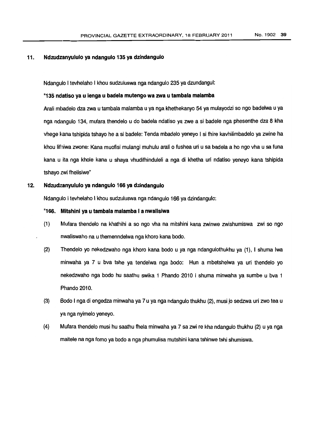# 11. Ndzudzanyululo ya ndangulo 135 ya dzindangulo

Ndangulo I tevhelaho I khou sudzuluswa nga ndangulo 235 ya dzundangul:

# "135 ndatiso ya u lenga u badelamutengowa zwa u tambala malamba

Arali mhadelo dzazwautambalamalamba u ya ngakhethekanyo 54 ya mulayodzi so ngo badelwa u ya nga ndangulo 134, mufara thendelo u do badela ndatiso ya zwe a si badele nga phesenthe dza 8 kha vhege kana tshipida tshayo he a si badele: Tenda mbadelo yeneyo I si fhire kavhilimbadelo ya zwine ha khou lifiniwa zwone: Kana muofisi mulangi muhulu arali o fushea uri u sa badela a ho ngo yha u sa funa kana u ita nga khole kana u shaya vhudifhinduleli a nga di khetha uri ndatiso yeneyo kana tshipida tshayo zwi fhelisiwe"

# 12. Ndzud: anyululo ya ndangulo 166 ya dzindangulo

Ndangulo I tevhelaho I khou sudzuluswa nga ndangulo 166 ya dzindangulo:

# "166. Mitshini ya u tambala malamba I a nwalisiwa

- (1) Mufara thendelo na khathihi a so ngo vha na mitshini kana zwinwe zwishumiswa zwi so ngo nwaliswaho na u themenndelwa ngakhoro kana bodo.
- (2) Thendelo yo nekedzwaho nga khoro kana bode u ya nga ndangulothukhu ya (1), I shuma Iwa minwaha ya 7 u bva tshe ya tendelwa nga bode: Hun a mbetshelwa ya uri thendelo yo nekedzwaho nga bode hu saathu swika 1 Phando 2010 I shuma minwaha ya sumbe u bva 1 Phando 2010.
- (3) Bodo I ngadi engedza minwaha ya 7 u ya ngandangulo thukhu (2), musi jo sedzwa uri zwo tea u ya nga nyimelo yeneyo.
- (4) Mufara thendelo musi hu saathu fhela minwaha ya 7 sa zwi re khandangulo thukhu (2) u ya nga maitele na nga fomo ya bodo a nga phumulisa mutshini kana tshinwe tshi shumiswa.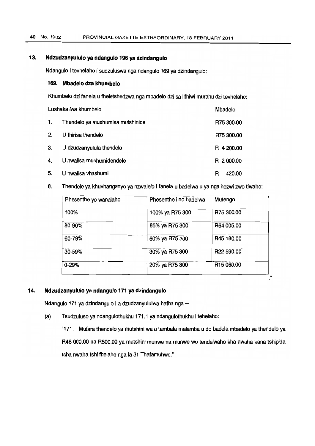# 13. **Ndzudzanyululo yandangulo 196yadzindangulo**

Ndangulo I tevhelaho I sudzuluswa nga ndangulo 169 ya dzindangulo:

# "169. **Mbadelo dza khumbelo**

Khumbelo dzi fanela u fheletshedzwa nga mbadelo dzi sa lifhiwi murahu dzi tevhelaho:

| Lushaka lwa khumbelo |                                  | Mbadelo     |
|----------------------|----------------------------------|-------------|
| 1.                   | Thendelo ya mushumisa mutshinice | R75 300.00  |
| 2.                   | U fhirisa thendelo               | R75 300.00  |
| 3.                   | U dzudzanyulula thendelo         | R 4 200.00  |
| 4.                   | U nwalisa mushumidendele         | R 2 000.00  |
| 5.                   | U nwalisa vhashumi               | 420.00<br>R |

6. Thendelo ya khuvhanganyo ya nzwalelo I fanela u badelwa u ya nga hezwi zwo tiwaho:

| Phesenthe yo wanalaho | Phesenthe i no badelwa | Mutengo                |
|-----------------------|------------------------|------------------------|
| 100%                  | 100% ya R75 300        | R75 300.00             |
| 80-90%                | 85% ya R75 300         | R64 005.00             |
| 60-79%                | 60% ya R75 300         | R45 180.00             |
| 30-59%                | 30% ya R75 300         | R22 590.00             |
| $0 - 29%$             | 20% ya R75 300         | R <sub>15</sub> 060.00 |

# 14. **Ndzudzanyululo yandangulo 171 yadzindangulo**

Ndangulo 171 ya dzindangulo I a dzudzanyululwa hafha nga-

(a) Tsudzuluso ya ndangulothukhu 171.1 ya ndangulothukhu I tehelaho:

"171. Mufara thendelo ya mutshini wa u tambala malamba u do badela mbadelo ya thendelo ya R46 000.00 na R500.00 ya mutshini munwe na munwe wo tendelwaho kha nwaha kana tshipida tsha nwaha tshi fhelaho nga la 31 Thafamuhwe."

 $\mathbf{u}$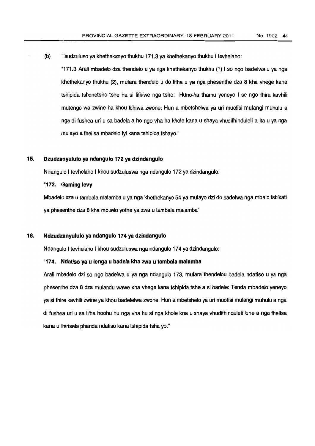(b) Tsudzuluso ya khethekanyo thukhu 171.3 ya khethekanyo thukhu I tevhelaho:

"171.3 Arali mbadelo dzathendelo u ya nga khethekanyo thukhu (1) I so ngo badelwa u ya nga khethekanyo thukhu (2), mufara thendelo u do lifha u ya nga phesenthe dza 8 kha vhege kana tshipida tshenetsho tshe ha si lifhiwe nga tsho: Huno-ha thamu yeneyo I so ngo fhira kavhili rnutengo wa zwine ha khou Iifhiwa zwone: Hun a mbetshelwa ya uri muofisi mulangi muhulu a nga di fushea uri u sa badela a ho ngo vha ha khole kana u shaya vhudifhinduleli a ita u ya nga rnulayo a fhelisa mbadelo iyi kana tshipida tshayo."

#### 15. Dzudzanyululo ya ndangulo 172ya dzindangulo

Ndangulo I tevhelaho I khou sudzuluswa ngandangulo 172ya dzindangulo:

#### "172. Gaming levy

Mbadelo dzau tambala malamba u ya ngakhethekanyo 54ya mulayo dzido badelwa nga mbalo tshikati ya phesenthe dza 8 kha mbuelo yothe ya zwa u tambala malamba"

#### 16. Ndzudz:anyululoya ndangulo 174ya dzindangulo

Ndangulo I tevhelaho I khou sudzuluswa nga ndangulo 174ya dzindangulo:

#### "174. Ndatiso ya u lenga u badela kha zwa u tambala malamba

Arali mbadelo dzi so ngo badelwa u ya nga ndangulo 173, mufara thendelou badela ndatiso u ya nga phesenthe dza 8 dza mulandu wawe kha vhege kana tshipida tshe a si badele: Tenda mbadelo yeneyo ya si fhire kavhili zwine ya khou badelelwa zwone: Hun a mbetshelo ya uri muofisi mulangi muhulu a nga di fushea uri u sa Iifha hoohu hu ngavha hu si ngakhole kna u shaya vhudifhinduleli lune a ngafhelisa kana u fhirisela phanda ndatiso kana tshipida tsha yo."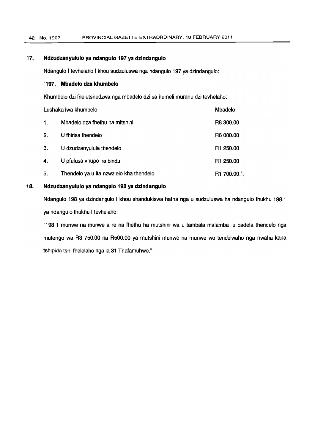# 17. Ndzudzanyululo ya ndangulo 197 ya dzindangulo

Ndangulo I tevhelaho I khou sudzuluswa nga ndangulo 197 ya dzindangulo:

#### "197. Mbadelo dza khumbelo

Khumbelo dzi fheletshedzwa nga mbadelo dzi sa humeli murahu dzi tevhelaho:

| Lushaka lwa khumbelo |                                         | Mbadelo               |
|----------------------|-----------------------------------------|-----------------------|
| 1.                   | Mbadelo dza fhethu ha mitshini          | R8 300.00             |
| 2.                   | U fhirisa thendelo                      | R6 000.00             |
| З.                   | U dzudzanyulula thendelo                | R <sub>1</sub> 250.00 |
| 4.                   | U pfulusa vhupo ha bindu                | R <sub>1</sub> 250.00 |
| 5.                   | Thendelo ya u ita nzwalelo kha thendelo | R1 700.00.".          |

# 18. Ndzudzanyululo va ndangulo 198 va dzindangulo

Ndangulo 198 ya dzindangulo I khou shandukiswa hafha nga u sudzuluswa ha ndangulo thukhu 198.1 ya ndangulo thukhu I tevhelaho:

"198.1 munwe na munwe a re na fhethu ha mutshini wa u tambala malamba u badela thendelo nga mutengo wa R3 750.00 na R500.00 ya mutshini munwe na munwe wo tendelwaho nga nwaha kana tshipida tshi fhelelaho nga la 31 Thafamuhwe."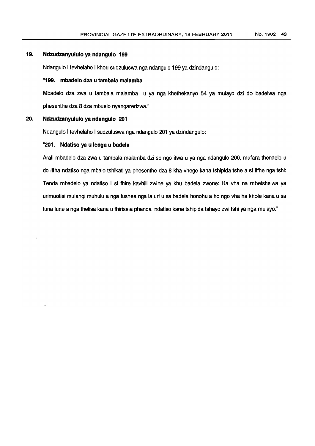# 19. Ndzudzanyululo ya ndangulo 199

Ndangulo I tevhelaho I khou sudzuluswa nga ndangulo 199 ya dzindangulo:

# "199. mbadelo dza u tambala malamba

Mbadela dza zwa u tambala malamba u ya nga khethekanyo 54 ya mulayo dzi do badelwa nga phesenthe dza 8 dza mbuelo nyangaredzwa."

# 20. Ndzudzanyululo ya ndangulo 201

Ndangulo I tevhelaho I sudzuluswa nga ndangulo 201 ya dzindangulo:

# "201. Ndatiso ya u lenga u badela

Arali mbadelo dza zwa u tambala malamba dzi so ngo itwa u ya nga ndangulo 200, mufara thendelo u do lifha ndatiso nga mbalo tshikati ya phesenthe dza 8 kha vhege kana tshipida tshe a si lifhe nga tshi: Tenda mbadelo ya ndatiso I si fhire kavhili zwine ya khu badela zwone: Ha vha na mbetshelwa ya urimuofisi mulangi muhulu a ngafushea ngala uri u sa badela honohu a ho ngovha ha khole kana u sa funa lune a nga fhelisa kana u fhirisela phanda ndatiso kana tshipida tshayo zwi tshi ya nga mulayo."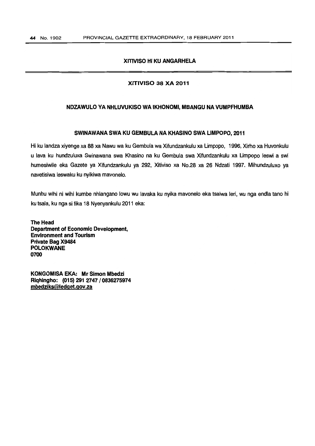# **XIllVISO HIKU ANGARHELA**

#### **XITIVISO 38 XA 2011**

## **NDZAWULO VANHLUVUKISO WAIKHONOMI, MBANGU NAVUMPFHUMBA**

#### **SWINAWANA SWA KU GEMBULA NAKHASINO SWA LIMPOPO, 2011**

Hi ku landza xiyenge xa 88 xa Nawu wa ku Gembula wa Xifundzankulu xa Limpopo, 1996, Xirho xa Huvonkulu u lava ku hundzuluxa Swinawana swa Khasino na ku Gembula swa Xifundzankulu xa Umpopo leswi a swi humesiwile eka Gazete ya Xifundzankulu ya 292, Xitiviso xa No.28 xa 26 Ndzati 1997. Mihundzuluxo ya navetisiwa leswaku ku nyikiwa mavonelo.

Munhu wihi ni wihi kumbe nhlangano lowu wu lavaka ku nyika mavonelo eka tsalwa leri, wu nga endla tano hi ku tsala, ku nga si fika 18 Nyenyankulu 2011 eka:

**The Head Department of Economic Development, Environment and Tourism Private Bag X9484 POLOKWANE 0700**

**KONGOMISA EKA: Mr Simon Mbedzi Riqhingho: (015) 291 274710836275974 mbedzlks@ledget.gov.za**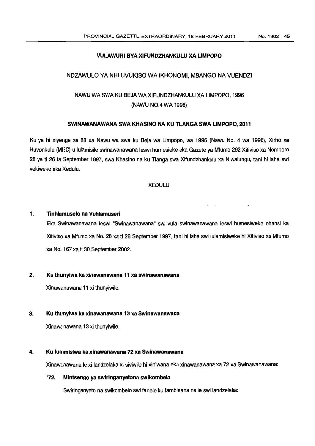# VULAWURI BYA XIFUNDZHANKULU XA LIMPOPO

# NDZAWULO VA NHLUVUKISO WA IKHONOMI, MBANGO NAVUENDZI

# NAWU WA SWAKU BEJA WAXIFUNDZHANKULU XA LIMPOPO, 1996 (NAWU NO.4WA 1996)

#### SWINAWANAWANA SWA KHASINO NA KU TLANGA SWA LIMPOPO, 2011

Ku ya hi xiyenge xa 88 xa Nawu wa swa ku Beja wa Umpopo, wa 1996 (Nawu No.4 wa 1996), Xirho xa Huvonkulu (MEG) u lulamisile swinawanawana leswi humesieke ekaGazete ya Mfumo 292Xitiviso xa Nomboro 28 ya ti 26 ta September 1997, swa Khasino na ku T1anga swa Xifundzhankulu xa N'walungu, tani hi laha swi vekiweke eka Xedulu.

### XEDULU

#### 1. Tinhlamuselo na Vuhlamuseri

Eka Swinawanawana leswi "Swinawanawana" swi vula swinawanawana leswi humesiweke ehansi ka Xitiviso xa Mfumo xa No. 28 xa ti 26 September 1997, tani hi laha swi lulamisiweke hi Xitiviso xa Mfumo xa No. 167 xa ti 30 September 2002.

#### 2. Ku thunyiwa ka xinawanawana 11 xa swinawanawana

Xinawanawana 11 xi thunyiwile.

# 3. Ku thunyiwa ka xinawanawana 13 xa Swinawanawana

Xinawanawana 13 xi thunyiwile.

# 4. Ku lulamisiwa ka xinawanawana 72 xa Swinawanawana

Xinawanawana le xi landzelaka xi siviwile hi xin'wana eka xinawanawana xa 72 xa Swinawanawana:

#### "72. Mintsengo ya swiringanyetona swikombelo

Swiringanyeto na swikombelo swi fanele ku fambisana na le swi landzelaka: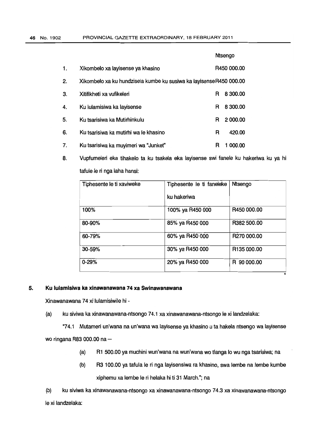|    |                                                                    |   | Ntsengo     |
|----|--------------------------------------------------------------------|---|-------------|
| 1. | Xikombelo xa layisense ya khasino                                  |   | R450 000.00 |
| 2. | Xikombelo xa ku hundzisela kumbe ku susiwa ka layisenseR450 000.00 |   |             |
| З. | Xitifikheti xa vufikeleri                                          | R | 8 300.00    |
| 4. | Ku lulamisiwa ka layisense                                         | R | 8 300.00    |
| 5. | Ku tsarisiwa ka Mutirhinkulu                                       | R | 2 000.00    |
| 6. | Ku tsarisiwa ka mutirhi wa le khasino                              | R | 420.00      |
| 7. | Ku tsarisiwa ka muyimeri wa "Junket"                               | R | 1 000.00    |

8. Vupfumeleri eka tihakelo ta ku tsakela eka layisense swi fanele ku hakeriwa ku ya hi tafule le ri nga laha hansi:

| Tiphesente le ti xaviweke | Tiphesente le ti faneleke | Ntsengo     |
|---------------------------|---------------------------|-------------|
|                           | ku hakeriwa               |             |
| 100%                      | 100% ya R450 000          | R450 000.00 |
| 80-90%                    | 85% ya R450 000           | R382 500.00 |
| 60-79%                    | 60% ya R450 000           | R270 000.00 |
| 30-59%                    | 30% ya R450 000           | R135 000.00 |
| $0 - 29%$                 | 20% ya R450 000           | R 90 000.00 |

# **5. Ku lulamisiwa ka xinawanawana 74 xa Swinawanawana**

Xinawanawana 74 xi lulamisiwile hi-

(a) ku siviwa ka xinawanawana-ntsongo 74.1 xa xinawanawana-ntsongo Iexi landzelaka:

"74.1 Mutameri un'wana na un'wana wa layisense ya khasino uta hakela ntsengo wa layisense wo ringana R83 000.00 na -

- (a) R1 500.00 ya muchini wun'wana na wun'wana wotlanga <sup>10</sup> wu ngatsarisiwa; na
- (b) R3 100.00 ya tafula Ie ri nga layisensiwa ra khasino, swa lembe na lembe kumbe xiphemu xa lembe Ie ri helaka hiti 31 March."; na

(b) ku siviwa ka xinawanawana-ntsongo xa xinawanawana-ntsongo 74.3xa xinawanawana-ntsongo le xi landzelaka: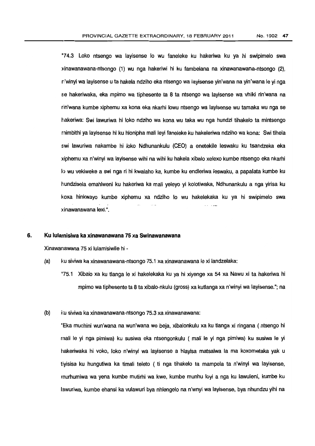"74.3 Loko ntsengo wa layisense <sup>10</sup> wu faneleke ku hakeriwa ku ya hi swipimelo swa xinawanawana-ntsongo (1) wu nga hakeriwi hi ku fambelana na xinawanawana-ntsongo (2), n'winyi wa layisense u ta hakela ndziho eka ntsengo wa layisense yin'wana na yin'wana Ieyi nga se hakeriwaka, eka mpimo wa tiphesente ta 8 ta ntsengo wa layisense wa vhiki rin'wana na rin'wana kumbe xiphemu xa kona eka nkarhi lowu ntsengo wa layisense wu tamaka wu nga se hakeriwa: Swi lawuriwa hi loko ndziho wa kona wu taka wu nga hundzi tihakelo ta mintsengo rnimbithi ya layisense hi ku hlonipha mali leyifaneleke ku hakeleriwa ndziho wa kona: Swi tlhela swi lawuriwa nakambe hi loko Ndhunankulu (CEO) a enetekile leswaku ku tsandzeka eka xiphemu xa n'winyi wa layisense wihi na wihi ku hakela xibalo xelexo kumbe ntsengo eka nkarhi 10 wu vekiweke a swi nga ri hi kwalaho ka, kumbe ku endleriwa leswaku, a papalata kumbe ku hundzisela emahlweni ku hakeriwa ka mali yeleyo yi kolotiwaka, Ndhunankulu a nga yirisa ku koxa hinkwayo kumbe xiphemu xa ndziho <sup>10</sup> wu hakelekaka ku ya hi swipimelo swa xinawanawana lexi.".

#### 6. Ku lulamisiwa ka xinawanawana 75xa Swinawanawana

Xinawanawana 75 xi lulamisiwile hi -

- (a) ku siviwa ka xinawanawana-ntsongo 75.1 xa xinawanawana Iexi landzelaka:
	- "75.1 Xibalo xa ku tlanga Ie xi hakelekaka ku ya hi xiyenge xa 54 xa Nawu xi ta hakeriwa hi mpimo watiphesente ta 8 ta xibalo-nkulu (gross) xa kutlanga xa n'winyi wa layisense."; na

#### (b) ku siviwa ka xinawanawana-ntsongo 75.3 xa xinawanawana:

"Eka muchini wun'wana na wun'wana wo beja, xibalonkulu xa ku tlanga xi ringana ( ntsengo hi mali Ie yi nga pimiwa) ku susiwa eka ntsengonkulu ( mali Ie yi nga pimiwa) ku susiwa Ie yi hakeriwaka hi voko, lake n'winyi wa layisense a hlayisa matsalwa la ma koxometaka yak u tiyisisa ku hungutiwa ka timali teleto ( ti nga tihakelo ta mampela ta n'winyi wa layisense, rnurhumiwa wa Vena kumbe mutirhi wa kwe, kumbe munhu loyi a nga ku lawuleni, kumbe ku lawuriwa, kumbe ehansi ka vulawuri bya nhlengelo na n'wnyi wa layisense, bya nhundzu yihi na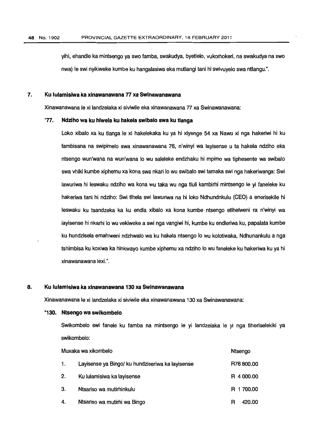yihi, ehandle ka mintsengo ya swofamba, swakudya, byetlelo, vukorhokeri, na swakudya na swo nwa) le swi nyikiweke kumbe ku hangalasiwa eka mutlangi tani hi swivuyelo swa ntlangu.".

#### 7. Ku lulamisiwa ka xinawanawana *n* xa Swinawanawana

Xinawanawana le xi landzelaka xi siviwile eka xinawanawana 77 xa Swinawanawana:

#### "77. Ndziho wa ku hlwela ku hakela swibalo swa ku tlanga

Lako xibalo xa ku tlanga Ie xi hakelekaka ku ya hi xiyenge 54 xa Nawu xi nga hakeriwi hi ku fambisana na swipimelo swa xinawanawana 76, n'winyi wa layisense u ta hakela ndziho eka ntsengo wun'wana na wun'wana 10 wu saleleke endzhaku hi mpimo wa tiphesente wa swibala swa vhiki kumbe xiphemu xa kona swa nkari lo wu swibalo swi tamaka swi nga hakeriwanga: Swi lawuriwa hi leswaku ndziho wa kana wu taka wu nga tluli kambirhi mintsengo Ie yi faneleke ku hakeriwa tani hi ndziho: Swi tlhela swi lawuriwa na hi lake Ndhundnkulu (CEO) a enerisekile hi leswaku ku tsandzeka ka ku endla xibalo xa kona kumbe ntsengo etlhelweni ra n'winyi wa layisense hi nkarhi lo wu vekiweke a swi nga vangiwi hi, kumbe ku endleriwa ku, papalata kumbe ku hundzisela emahlweni ndzhwalo wa ku hakela ntsengo 10 wu kolatiwaka, Ndhunankulu a nga tshimbisa ku koxiwa ka hinkwayo kumbe xiphemu xa ndziho 10 wufaneleke ku hakeriwa ku ya hi xinawanawana lexi.".

#### 8. Ku lulamisiwa ka xinawanawana 130xa Swinawanawana

Xinawanawana le xi landzelaka xi siviwile eka xinawanawana 130 xa Swinawanawana:

#### "130. Ntsengo wa swikombelo

Swikombelo swi fanele ku famba na mintsengo Ie yi landzelaka Ie yi nga tlheriselekiki ya swikombelo:

| Muxaka wa xikombelo |                                                  | Ntsengo    |
|---------------------|--------------------------------------------------|------------|
| 1.                  | Layisense ya Bingo/ ku hundziseriwa ka layisense | R76 800.00 |
| 2.                  | Ku lulamisiwa ka layisense                       | R 4 000.00 |
| 3.                  | Ntsariso wa mutirhinkulu                         | R 1 700.00 |
| 4.                  | Ntsariso wa mutirhi wa Bingo                     | 420.00     |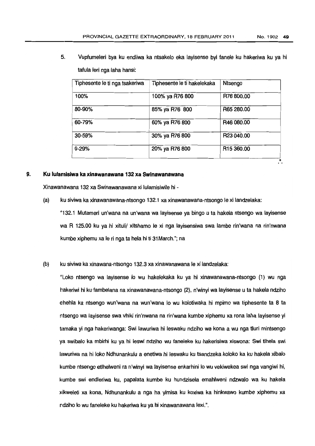$\cdot$ 

5. Vupfumeleri bya ku endliwa ka ntsakelo eka layisense byi fanele ku hakeriwa ku ya hi tafula leri nga laha hansi:

| Tiphesente le ti nga tsakeriwa | Tiphesente le ti hakelekaka | Ntsengo                |
|--------------------------------|-----------------------------|------------------------|
| 100%                           | 100% ya R76 800             | R76 800.00             |
| 80-90%                         | 85% ya R76 800              | R65 280.00             |
| 60-79%                         | 60% ya R76 800              | R46 080.00             |
| 30-59%                         | 30% ya R76 800              | R23 040.00             |
| $0 - 29%$                      | 20% ya R76 800              | R <sub>15</sub> 360.00 |

# 9. Ku lulamisiwa ka xinawanawana 132xa Swinawanawana

Xinawanawana 132xa Swinawanawana xi lulamisiwile hi-

(a) ku siviwa ka xinawanawana-ntsongo 132.1 xa xinawanawana-ntsongo Iexi landzelaka:

"132.1 Mutameri un'wana na un'wana wa layisense ya bingo u ta hakela ntsengo wa layisense wa R 125.00 ku ya hi xituli/ xitshamo le xi nga layisensiwa swa lambe rin'wana na rin'nwana kumbe xiphemu xa le ri nga ta hela hi ti 31 March."; na

(b) ku siviwa ka xinawana-ntsongo 132.3 xa xinawanawana Iexi landzelaka:

"lLoko ntsengo wa layisense <sup>10</sup> wu hakelekaka ku ya hi xinawanawana-ntsongo (1) wu nga hakeriwi hi ku fambelana na xinawanawana-ntsongo (2), n'winy; wa layisense u ta hakela ndziho ehehla ka ntsengo wun'wana na wun'wana lo wu kolotiwaka hi mpimo wa tiphesente ta 8 ta ntsengo wa layisense swa vhiki rin'nwana na rin'wana kumbe xiphemu xa rona laha layisense yi tamaka yi nga hakeriwanga: Swi lawuriwa hi leswaku ndziho wa kona a wu nga tluri mintsengo ya swibalo ka mbirhi ku ya hi leswi ndziho wu faneleke ku hakerisiwa xiswona: Swi tlhela swi lawuriwa na hi lake Ndhunankulu a enetiwa hi leswaku ku tsandzeka koloko ka ku hakela xibalo kumbe ntsengo etlhelweni ra n'winyi wa layisense enkarhini 10 wu vekiwekea swi nga vangiwi hi, kumbe swi endleriwa ku, papalata kumbe ku hundzisela emahlweni ndzwalo wa ku hakela xikweleti xa kona, Ndhunankulu a nga ha yimisa ku koxiwa ka hinkwawo kumbe xiphemu xa ndziho lo wu faneleke ku hakeriwa ku ya hi xinawanawana lexi.".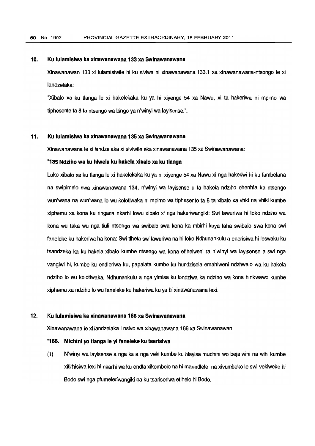#### 10. Ku lulamisiwa ka xinawanawana 133 xa Swinawanawana

Xinawanawan 133 xi lulamisiwile hi ku siviwa hi xinawanawana 133.1 xa xinawanawana-ntsongo Ie xi landzelaka:

"Xibalo xa ku tlanga Ie xi hakelekaka ku ya hi xiyenge 54 xa Nawu, xi ta hakeriwa hi mpimo wa tiphesente ta 8 ta ntsengo wa bingo ya n'winyi wa layisense.".

# 11. Ku lulamisiwa ka xinawanawana 135 xa Swinawanawana

Xinawanawana Iexi landzelaka xi siviwile ekaxinawanawana 135 xa Swinawanawana:

#### "135 Ndziho wa ku hlwela ku hakela xibalo xa ku tlanga

Loko xibalo xa ku tlanga Ie xi hakelekaka ku ya hi xiyenge 54 xa Nawu xi nga hakeriwi hi ku fambelana na swipimel0 swa xinawanawana 134, n'winyi wa layisense u ta hakela ndziho ehenhla ka ntsengo wun'wana na wun'wana <sup>10</sup> wu kolotiwaka hi mpimo wa tiphesente ta 8 ta xibalo xa vhki na vhiki kumbe xiphemu xa kona ku ringana nkarhi lowu xibalo xi nga hakeriwangiki: Swi lawuriwa hi loko ndziho wa kona wu taka wu nga tluli ntsengo wa swibalo swa kona ka mbirhi kuya laha swibalo swa kona swi faneleke ku hakeriwa ha kona: Swi tlhela swi lawuriwa na hi loko Ndhunankulu a enerisiwa hi leswaku ku tsandzeka ka ku hakela xibalo kumbe ntsengo wa kona etlhelweni ra n'winyi wa layisense a swi nga vangiwi hi, kumbe ku endleriwa ku, papalata kumbe ku hundzisela emahlweni ndzhwalo wa ku hakela ndziho <sup>10</sup> wu kolotiwaka, Ndhunankulu a nga yimisa ku londziwa ka ndziho wa kona hinkwawo kumbe xiphemu xa ndziho <sup>10</sup> wufaneleke ku hakeriwa kuya hi xinawanawana lexi.

### 12. Ku lulamisiwa ka xinawanawana 166 xa Swinawanawana

Xinawanawana Iexi landzelaka I nsivowa xinawanawana 166xa Swinawanawan:

#### "166. Michini yo tlanga Ie yi faneleke ku tsarisiwa

(1) N'winyi wa layisense a nga ka a ngaveki kumbe ku hlayisa muchini wo beja wihi na wihi kumbe xitirhisiwa lexihi nkarhi wa ku endlaxikombelo na hi maendlele na xivumbeko Ie swi vekiweke hi Bodo swi nga pfumeleriwangiki na ku tsariseriwa etlhelo hi Bodo.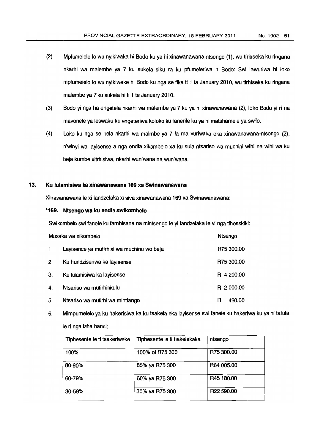- (2) Mpfumelelo 10 wu nyikiwaka hi Bodo ku ya hi xinawanawana-ntsongo (1), wu tirhiseka ku ringana nkarhi wa malembe ya 7 ku sukela siku ra ku pfumeleriwa h Bodo: Swi lawuriwa hi loko mpfumelelo lo wu nyikiweke hi Bodo ku nga se fika ti 1 ta January 2010, wu tirhiseka ku ringana malembe ya 7 ku sukela hi ti 1 ta January 2010.
- (3) Bodo yi nga ha engetela nkarhi wa malembe ya 7 ku ya hi xinawanawana (2), loko Bodo yi ri na mavonele ya leswaku ku engeteriwa koloko ku fanerile ku ya hi matshamele ya swilo.
- (4) Loko ku nga se hela nkarhi wa ma/mbe ya 7 la ma vuriwaka eka xinawanawana-ntsongo (2), n'winyi wa layisense a nga endla xikombelo xa ku sula ntsariso wa muchini wihi na wihi wa ku beja kumbe xitrhisiwa, nkarhi wun'wana na wun'wana.

# 13. Ku lulamisiwa ka xinawanawana 169xa Swinawanawana

Xinawanawana Ie xi landzelaka xi siva xinawanawana 169 xa Swinawanawana:

#### "169. Ntsengo wa ku endla swikombelo

Swikombelo swi fanele ku fambisana na mintsengo le yi landzelaka le yi nga tiheriskiki:

| Muxaka wa xikombelo |                                           | Ntsengo     |
|---------------------|-------------------------------------------|-------------|
| 1.                  | Layisence ya mutirhisi wa muchinu wo beja | R75 300.00  |
| 2.                  | Ku hundziseriwa ka layisense              | R75 300.00  |
| 3.                  | Ku lulamisiwa ka layisense<br>$\cdot$     | R 4 200.00  |
| 4.                  | Ntsariso wa mutirhinkulu                  | R 2 000.00  |
| 5.                  | Ntsariso wa mutirhi wa mintlango          | 420.00<br>R |

6. Mimpumelelo ya ku hakerisiwa ka ku tsakela eka layisense swi fanele ku hakeriwa ku ya hi tafula Ie ri nga laha hansi:

| Tiphesente le ti tsakeriweke | Tiphesente le ti hakelekaka | ntsengo    |
|------------------------------|-----------------------------|------------|
| 100%                         | 100% of R75 300             | R75 300.00 |
| 80-90%                       | 85% ya R75 300              | R64 005.00 |
| 60-79%                       | 60% ya R75 300              | R45 180.00 |
| 30-59%                       | 30% ya R75 300              | R22 590.00 |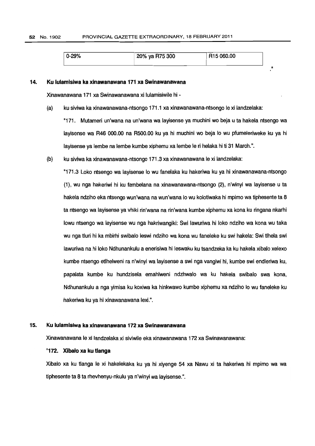| J-29% | 20% ya R75 300 | R <sub>15</sub> 060.00 |  |
|-------|----------------|------------------------|--|
|       |                |                        |  |

#### 14. Ku lulamisiwa ka xinawanawana 171 xa Swinawanawana

Xinawanawana 171 xa Swinawanawana xi lulamisiwile hi -

(a) ku siviwaka xinawanawana-ntsongo 171.1 xa xinawanawana-ntsongo Iexi landzelaka:

"171. Mutameri un'wana na un'wana wa layisense ya muchini wo beja u ta hakela ntsengo wa layisense wa R46 000.00 na R500.00 ku ya hi muchini wo beja 10 wu pfumeleriweke ku ya hi layisense ya lembe na lembe kumbe xiphemu xa lembe le ri helaka hiti 31 March.".

(b) ku siviwa ka xinawanawana-ntsongo 171.3xa xinawanawana Iexi landzelaka:

"171.3 Loko ntsengo wa layisense 10 wu fanelaka ku hakeriwa ku ya hi xinawanawana-ntsongo (1), wu nga hakeriwi hi ku fambelana na xinawanawana-ntsongo (2), n'winyi wa layisense u ta hakela ndziho eka ntsengo wun'wana na wun'wana 10 wu kolotiwaka hi mpimo wa tiphesente ta 8 ta ntsengo wa layisense ya vhiki rin'wana na rin'wana kumbe xiphemu xa konaku ringana nkarhi lowu ntsengo wa layisense wu nga hakriwangiki: Swi lawuriwa hi loko ndziho wa kona wu taka wu nga tluri hi ka mbirhi swibalo leswi ndziho wa kona wu faneleke ku swi hakela: Swi tlhela swi lawuriwa na hi lake Ndhunankulu a enerisiwa hi leswaku ku tsandzeka ka ku hakela xibalo xelexo kumbe ntsengo etlhelweni ra n'winyi wa layisense a swi ngavangiwi hi, kumbe swi endleriwa ku, papalata kumbe ku hundzisela emahlweni ndzhwalo wa ku hakela swibalo swa kona, Ndhunankulu a nga yimisa ku koxiwa ka hinkwawo kumbe xiphemu xa ndziho 10 wu faneleke ku hakeriwa ku ya hi xinawanawana lexi.".

#### 15. Ku lulamlsiwa ka xlnawanawana 172 xa Swlnawanawana

Xinawanawana Ie xi landzelaka xi siviwile eka xinawanawana 172xa Swinawanawana:

#### "172. Xibalo xa ku tlanga

Xibalo xa ku tlanga Ie xi hakelekaka ku ya hi xiyenge 54 xa Nawu xi ta hakeriwa hi mpimo wa wa tiphesente ta 8 ta rhevhenyu-nkulu ya n'winyi wa layisense.".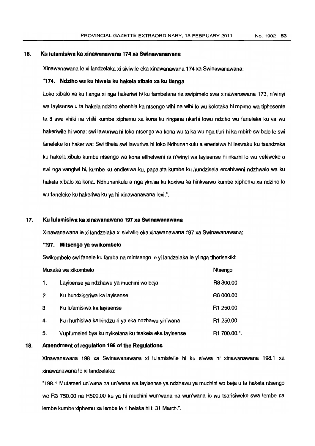#### 16. Ku lulamlsiwa ka xlnawanawana 174 xa Swlnawanawana

Xinawanawana Ie xi landzelaka xi siviwile eka xinawanawana 174 xa Swinawanawana:

#### "174. Ndziho wa ku hlwela ku hakela xlbalo xa ku tlanga

Loko xibalo xa ku tlanga xi nga hakeriwi hi ku fambelana na swipimelo swa xinawanawana 173, n'winyi wa laytsense u ta hakela ndziho ehenhla ka ntsengo wihi na wihi <sup>10</sup> wu kolotaka hi mpimo wa tiphesente ta 8 swa vhiki na vhiki kumbe xiphemu xa kona ku ringana nkarhi lowu ndziho wu faneleke ku va wu hakeriwile hi wona: swi lawuriwa hi loko ntsengo wa kona wu ta ka wu nga tluri hi ka mbirh swibalo le swi faneleke ku hakeriwa: Swi tlhela swi lawuriwa hi Joko Ndhunankulu a enerisiwa hi leswaku ku tsandzeka ku hakela xibalo kumbe ntsengo wa kona etlhelweni ra n'winyi wa layisense hi nkarhi 10 wu vekiweke a swi nga vangiwi hi, kumbe ku endleriwa ku, papalata kumbe ku hundzisela emahlweni ndzhwalo wa ku hakela xibalo xa kona, Ndhunankulu a nga yimisa ku koxiwa ka hinkwawo kumbe xiphemu xa ndziho 10 wu faneleke ku hakeriwa ku ya hi xinawanawana lexi.".

#### 17. Ku lulamisiwa ka xinawanawana 197 xa Swinawanawana

Xinawanawana Ie xi landzelaka xi siviwile eka xinawanawana 197 xa Swinawanawana:

#### "197. N1itsengo ya swikombelo

Swikombelo swi fanele ku famba na mintsengo le yi landzelaka le yi nga tlherisekiki:

| Muxaka wa xikombelo |                                                       | Ntsengo      |
|---------------------|-------------------------------------------------------|--------------|
| 1.                  | Layisense ya ndzhawu ya muchini wo beja               | R8 300.00    |
| 2.                  | Ku hundziseriwa ka layisense                          | R6 000.00    |
| З.                  | Ku lulamisiwa ka layisense                            | R1 250.00    |
| 4.                  | Ku rhurhisiwa ka bindzu ri ya eka ndzhawu yin'wana    | R1 250.00    |
| 5.                  | Vupfumeleri bya ku nyiketana ku tsakela eka layisense | R1 700.00.". |

#### 18. Amendment of regulation 198 of the Regulations

Xinawanawana 198 xa Swinawanawana xi lulamisiwile hi ku siviwa hi xinawanawana 198.1 xa xinawanawana Ie xi landzelaka:

"198.1 Mutameri un'wana na un'wana wa layisense ya ndzhawu ya muchini wo beja u ta hakela ntsengo wa R3 750.00 na R500.00 ku ya hi muchini wun'wana na wun'wana lo wu tsarisiweke swa lembe na lembe kumbe xiphemu xa lembe Ie ri helaka hi ti 31 March.".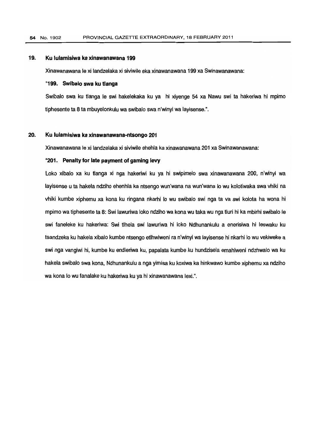# 19. Ku lulamisiwa ka xinawanawana 199

Xinawanawana Iexi landzelaka xi siviwile ekaxinawanawana 199xa Swinawanawana:

#### "199. Swibalo swa ku tlanga

Swibalo swa ku tlanga Ie swi hakelekaka ku ya hi xiyenge 54 xa Nawu swi ta hakeriwa hi mpimo tiphesente ta 8 ta mbuyelonkulu wa swibalo swa n'winyi walayisense.".

#### 20. Ku lulamisiwa ka xinawanawana-ntsongo 201

Xinawanawana Iexi landzelaka xi siviwile ehehla kaxinawanawana 201 xa Swinawanawana:

#### "201. Penalty for late payment of gaming levy

Loko xibalo xa ku tlanga xi nga hakeriwi ku ya hi swipimelo swa xinawanawana 200, n'winyi wa layisense u ta hakela ndziho ehenhla ka ntsengo wun'wana na wun'wana <sup>10</sup> wu kolotiwaka swavhiki na vhiki kumbe xiphemu xa kona ku ringana nkarhi <sup>10</sup> wu swibalo swi nga ta va swi kolota ha wona hi mpimo wa tiphesente ta 8: Swi lawuriwa loko ndziho wa kona wu taka wu nga tluri hi ka mbirhi swibalo Ie swi faneleke ku hakeriwa: Swi tlhela swi lawuriwa hi loko Ndhunankulu a enerisiwa hi leswaku ku tsandzeka ku hakela xibalo kumbe ntsengo etlhwlweni ra n'winyi walayisense hi nkarhi <sup>10</sup> wu vekiweke a swi nga vangiwi hi, kumbe ku endleriwa ku, papalata kumbe ku hundzisela emahlweni ndzhwalo wa ku hakela swibalo swa kona, Ndhunankulu a nga yimisa ku koxiwa ka hinkwawo kumbe xiphemu xa ndziho wa kona lo wu fanalake ku hakeriwa ku ya hi xinawanawana lexi.".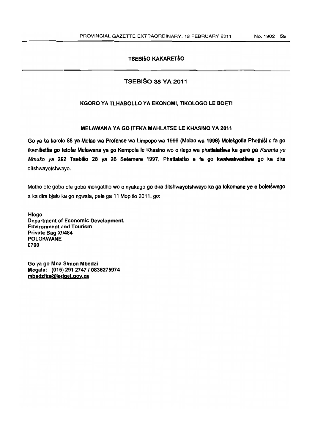# **TSEBISO KAKARETSO**

# TSEBISO 38 VA 2011

# KGORO VA TLHABOLLO VA EKONOMI, TIKOLOGO LE BOETI

#### MELAWANA VA GO ITEKA MAHLATSE LE KHASINO VA 2011

Go ya ka karolo 88 ya Molao wa Profense wa Limpopo wa 1996 (Molao wa 1996) Molekgotla Phethiśi o fa go ikemišetša go fetoša Melawana ya go Kempola le Khasino wo o ilego wa phatlalatšwa ka gare ga Kuranta ya Mmušo ya 292 Tsebišo 28 ya 26 Setemere 1997. Phatlalatšo e fa go kwalwakwatswa go ka dira ditshwayotshwayo.

Motho ofe goba ofe goba mokgatiho wo o nyakago go dira ditshwayotshwayo ka ga tokomane ye e boletswego a ka dira bialo ka go ngwala, pele ga 11 Mopitlo 2011, go:

Hlogo Department of Economic Development, Environment and Tourism Private Bag X9484 POLOKWANE 0700

Go ya go Mna Simon Mbedzi Mogala: (015) 291 2747 I 0836275974 mbedziks@ledget.gov.za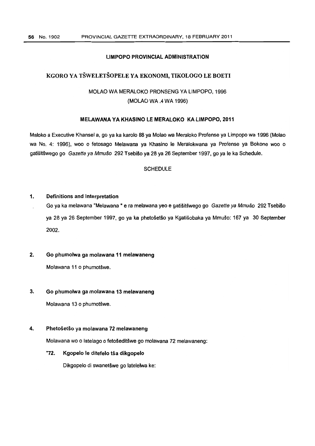#### LIMPOPO PROVINCIAL ADMINISTRATION

# KGORO YA TŠWELETŠOPELE YA EKONOMI, TIKOLOGO LE BOETI

# MOLAO WA MERALOKO PRONSENG YA LIMPOPO, 1996 (MOLAO WA.4 WA 1996)

# MELAWANA YA KHASINO LE MERALOKO KA LIMPOPO, 2011

Maloko a Executive Khansel a, go ya ka karolo 88 ya Molao wa Meraloko Profense ya Limpopo wa 1996 (Molao wa No.4: 1996), woo 0 fetosago Melawana ya Khasino Ie Meralokwana ya Profense ya Bokone woo 0 gatišitšwego go Gazette ya Mmušo 292 Tsebišo ya 28 ya 26 September 1997, go ya le ka Schedule.

# **SCHEDULE**

#### 1. Definitions and Interpretation

 $\overline{a}$ 

Go ya ka melawana "Melawana " e ra melawana yeo e gatišitšwego go Gazette ya Mmušo 292 Tsebišo ya 28 ya 26 September 1997, go ya ka phetosetso ya Kgatisobaka ya Mmuso: 167 ya 30 September 2002.

# 2. Go phumolwa ga molawana 11 melawaneng

Molawana 11 o phumotšwe.

#### 3. Go phumolwa ga molawana 13 melawaneng

Molawana 13 o phumotšwe.

#### 4. Phetošetšo ya molawana 72 melawaneng

Molawana wo 0 latelago 0 fetoseditswe go molawana 72 melawaneng:

"72. Kgopelo le ditefelo tša dikgopelo

Dikgopelo di swanetšwe go latelelwa ke: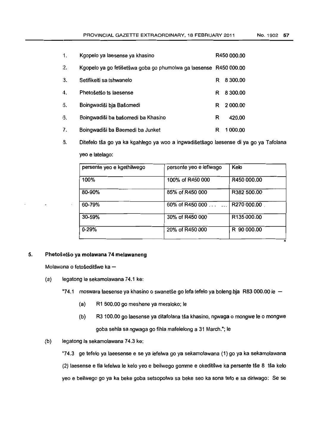| 1. | Kgopelo ya laesense ya khasino                                    |   | R450 000.00 |  |
|----|-------------------------------------------------------------------|---|-------------|--|
| 2. | Kgopelo ya go fetišetšwa goba go phumolwa ga laesense R450 000.00 |   |             |  |
| 3. | Setifikeiti sa tshwanelo                                          | R | 8 300.00    |  |
| 4. | Phetošetšo ts laesense                                            | R | 8 300.00    |  |
| 5. | Boingwadiši bja Bašomedi                                          | R | 2 000.00    |  |
| 6. | Boingwadiši ba bašomedi ba Khasino                                | R | 420.00      |  |
| 7. | Boingwadiši ba Baemedi ba Junket                                  | R | 1 000.00    |  |

8. Ditefelo tša go ya ka kgahlego ya woo a ingwadišetšago laesense di ya go ya Tafolana yeo e latelago:

| persente yeo e kgethilwego | persente yeo e lefiwago | Kelo        |
|----------------------------|-------------------------|-------------|
| 100%                       | 100% of R450 000        | R450 000.00 |
| 80-90%                     | 85% of R450 000         | R382 500.00 |
| 60-79%                     | 60% of R450 000 $\dots$ | R270 000.00 |
| 30-59%                     | 30% of R450 000         | R135 000.00 |
| $0 - 29%$                  | 20% of R450 000         | R 90 000.00 |

#### 5. Phetošetšo ya molawana 74 melawaneng

Molawana o fetošeditšwe ka $-$ 

- (a) legatong la sekamolawana 74.1 ke:
	- "74.1 moswara laesense ya khasino o swanetše go lefa tefelo ya boleng bja R83 000.00 le -
		- (a) R1 500.00 go meshene ya meraloko; Ie
		- (b) R3 100.00 go laesense ya ditafolana tša khasino, ngwaga o mongwe le o mongwe goba sehla sa ngwaga go fihla mafelelong a 31 March."; Ie
- (b) legatong la sekamolawana 74.3 ke:

"74.3 ge tefelo ya laeesense e se ya lefelwa go ya sekamolawana (1) go ya ka sekamolawana (2) laesense e tla lefelwa le kelo yeo e beilwego gomme e okeditšwe ka persente tše 8 tša kelo yeo e beilwego go ya ka beke goba setsopolwa sa beke seo ka sona tefo e sa diriwago: Se se

n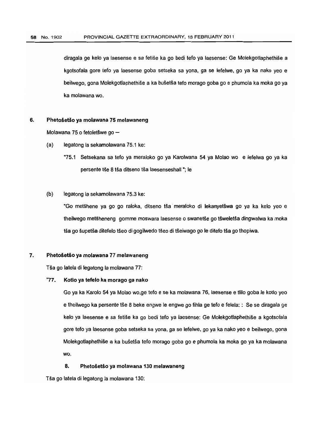diragala ge kelo ya laesense e sa fetise ka go bedi teto ya laesense: Ge Molekgotlaphethise a kgotsofala gore tefo ya laesense goba setseka sa yona, ga se lefeIwe, go ya ka nako yeo e beilwego, gona Molekgotlaphethise a ka busetsa tefo moraga goba go e phumola ka moka go ya ka molawana wo.

## 6. Phetošetšo ya molawana 75 melawaneng

Molawana 75 o fetoletšwe go  $-$ 

- (a) legatong la sekamolawana 75.1 ke:
	- "75.1 Setsekana sa tefo ya meraloko go ya Karolwana 54 ya Molao wo e lefelwa go ya ka persente tše 8 tša ditseno tša laesenseshall "; le

#### (b) legatong la sekamolawana 75.3 ke:

"Go metšhene ya go go raloka, ditseno tša meraloko di lekanyetšwa go ya ka kelo yeo e theilwego metšheneng gomme moswara laesense o swanetše go tšweletša dingwalwa ka moka tša go šupetša ditefelo tšeo di gogilwedo tšeo di tšeiwago go le ditefo tša go thopiwa.

#### 7. Phetošetšo ya molawana 77 melawaneng

TSa go latela di legatong la molawana 77:

#### "77. Kotlo ya tefelo ka morago ga nako

Go ya ka Karolo 54 ya Molao wO,ge tefo e se ka molawana 76, laesense e tlilo goba Ie kotlo yeo e theilwego ka persente tše 8 beke engwe le engwe go fihla ge tefo e felela: : Se se diragala ge kelo ya laesense e sa fetise ka go bedi teto ya laesense: Ge Molekgotlaphethise a kgotsofala gore teto ya laesense goba setseka sa yona, ga se letelwe, go ya ka nako yeo e beilwego, gona Molekgotlaphethise a ka busetsa teto moraga goba go e phumola ka moka go ya ka molawana wo.

#### 8. Phetošetšo ya molawana 130 melawaneng

Tša go latela di legatong la molawana 130: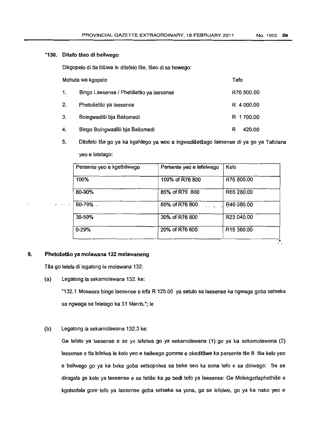#### "130. Ditefo tseo di beilwego

Dikgopelo di tla tlišiwa le ditefelo tše, tšeo di sa bowego:

| Mohuta wa kgopelo |                                         | Tefo        |
|-------------------|-----------------------------------------|-------------|
| 1.                | Bingo Laesense / Phetišetšo ya laesense | R76 800.00  |
| 2.                | Phetošetšo ya laesense                  | R 4 000.00  |
| 3.                | Boingwadiši bja Bašomedi                | R 1 700.00  |
| 4.                | Bingo Boingwadiši bja Bašomedi          | 420.00<br>R |

5. Ditefelo tša go ya ka kgahlego ya woo a ingwadišetšago laesense di ya go ya Tafolana yeo e latelago:

| Persente yeo e kgethilwego | Persente yeo e lefelwago                        | Kelo                   |
|----------------------------|-------------------------------------------------|------------------------|
| 100%                       | 100% of R76 800                                 | R76 800,00             |
| 80-90%                     | 85% of R76 800                                  | R65 280.00             |
| $60 - 79\%$                | 60% of R76 800<br>$\mathbf{r}$ and $\mathbf{r}$ | R46 080.00             |
| 30-59%                     | 30% of R76 800                                  | R23 040.00             |
| $0 - 29%$                  | 20% of R76 800                                  | R <sub>15</sub> 360,00 |

# 9. Phetošetšo ya molawana 132 melawaneng

Tša go latela di legatong la molawana 132:

(a) Legatong la sekamolawana 132. ke:

"132.1 Moswara bingo laesense 0 lefa R 125.00 ya setulo sa laesense ka ngwaga goba setseka sa ngwaga se felelago ka 31 March."; le

(b) Legatong la sekamolawana 132.3 ke:

Ge tefelo ya laesense e se ya lefelwa go ya sekamolawana (1) go ya ka sekamolawana (2) laesense e tla lefelwa le kelo yeo e beilwego gomme e okeditšwe ka persente tše 8 tša kelo yeo e beilwego go ya ka beke goba setsopolwa sa beke seo ka sona tefo e sa diriwago: Se se diragala ge kelo ya laesense e sa fetise ka go bedi tefo ya laesense: Ge Molekqotlaphethise a kgotsofala gore tefo ya laesense goba setseka sa yona, ga se lefelwe, go ya ka nako yeo e

∴.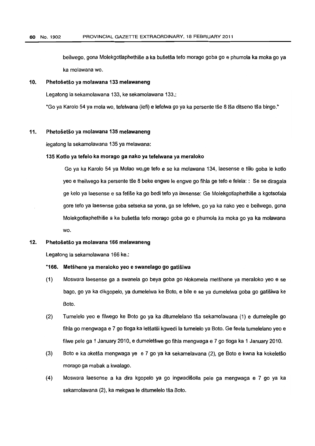beilwego, gona Molekqotlaphethise a ka busetsa tefo moraga goba go e phumola ka moka go ya ka molawana wo.

#### 10. Phetosetso ya molawana 133 melawaneng

Legatong la sekamolawana 133, ke sekamolawana 133.:

"Go ya Karolo 54 ya mola wo, tefelwana (lefi) e lefelwa go ya ka persente tše 8 tša ditseno tša bingo."

#### 11. Phetošetšo ya molawana 135 melawaneng

legatong la sekamolawana 135 ya melawana:

#### 135 Kotlo ya tefelo ka morago ga nako ya tefelwana ya meraloko

Go ya ka Karolo 54 ya Molao wo.qe tefo e se ka molawana 134, laesense e tlilo goba Ie kotlo yeo e theilwego ka persente tse 8 beke engwe Ie engwe go fihla ge tefo e felela: : Se se diragala ge kelo ya laesense e sa fetlse ka go bedi tefo ya laesense: Ge Molekqotlaphethise a kgotsofala gore tefo ya laesense goba setseka sa yona, ga se lefelwe, go ya ka nako yeo e beilwego, gona Molekqotlaphethise a ka busetsa tefo morago goba go e phumola ka moka go ya ka molawana wo.

#### 12. Phetošetšo ya molawana 166 melawaneng

Legatong la sekamolawana 166 ke.:

#### "166. Metshene ya meraloko yeo e swanelaqo go gatisiwa

- (1) Moswara laesense ga a swanela go beya goba go hlokomela metshene ya meraloko yeo e se bago, go ya ka dikgopelo, ya dumelelwa ke Boto, e bile e se ya dumelelwa goba go gatisiwa ke Boto.
- (2) Tumelelo yeo e filwego ke Boto go ya ka ditumelelano tsa sekamolawana (1) e dumelegile go fihla go mengwaga e 7 go tloga ka letšatši kgwedi la tumelelo ya Boto. Ge feela tumelelano yeo e filwe pele ga 1 January 2010, e durneletswe go fihla mengwaga e 7 go tioga ka 1 January 2010.
- (3) Boto e ka oketsa mengwaga ye e 7 go ya ka sekamelawana (2), ge Boto e kwna ka kokeletso morago ga mabak a kwalago.
- (4) Moswara laesense a ka dira kgopelo ya go ingwadisolla pele ga mengwaga e 7 go ya ka sekamolawana (2), ka mekgwa le ditumelelo tša Boto.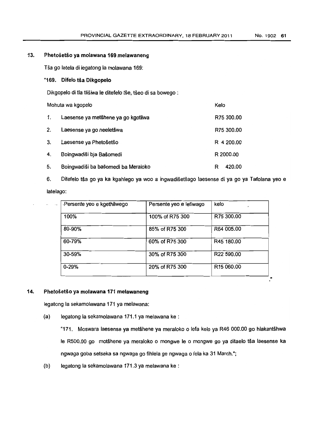# 13. Phetošetšo ya molawana 169 melawaneng

Tsa go latela di legatong la molawana 169:

# "169. Difelo tša Dikgopelo

Dikgopelo di tla tlišiwa le ditefelo tše, tšeo di sa bowego :

| Mohuta wa kgopelo |                                     | Kelo |            |
|-------------------|-------------------------------------|------|------------|
| 1.                | Laesense ya metšhene ya go kgotliwa |      | R75 300.00 |
| 2.                | Laesense ya go neeletšwa            |      | R75 300.00 |
| 3.                | Laesense ya Phetošetšo              |      | R 4 200.00 |
| 4.                | Boingwadiši bja Bašomedi            |      | R 2000.00  |
| 5.                | Boingwadiši ba bašomedi ba Meraloko | R    | 420.00     |

6. Ditefelo tša go ya ka kgahlego ya woo a ingwadišetšago laesense di ya go ya Tafolana yeo e latelago:

| Persente yeo e lefiwago | kelo                   |
|-------------------------|------------------------|
| 100% of R75 300         | R75 300.00             |
| 85% of R75 300          | R64 005.00             |
| 60% of R75 300          | R45 180.00             |
| 30% of R75 300          | R <sub>22</sub> 590.00 |
| 20% of R75 300          | R <sub>15</sub> 060.00 |
|                         |                        |

#### 14. Phetošetšo ya molawana 171 melawaneng

legatong la sekamolawana 171 ya melawana:

(a) leqatonq la sekamolawana 171.1 ya melawana ke :

"171. Moswara laesense ya metshene ya meraloko 0 lefa kelo ya R46 000.00 go hlakantshwa Ie R500.00 go motšhene ya meraloko o mongwe le o mongwe go ya ditaelo tša laesense ka ngwaga goba setseka sa ngwaga go fihlela ge ngwaga 0 fela ka 31 March.";

(b) legatong la sekamolawana 171.3 ya melawana ke :

n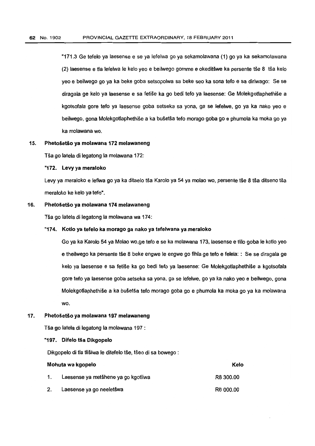"171.3 Ge tefelo ya laesense e se ya lefelwa go ya sekamolawana (1) go ya ka sekamolawana (2) laesense e tla lefelwa Ie kelo yeo e beilwego gomme e okeditswe ka persente tse 8 15a kelo yeo e beilwego go ya ka beke goba setsopolwa sa beke seo ka sona tefo e sa diriwago: Se se diragala ge kelo ya laesense e sa fetise ka go bedi tefo ya laesense: Ge Molekgotlaphethise a kgotsotala gore *teto* ya laesense goba setseka sa yona, ga se letelwe, go ya ka nako yeo e beilwego, gona Molekgotlaphethise a ka busetsatefo morago goba go e phumola ka moka go ya ka molawana wo.

#### 15. Phetošetšo ya molawana 172 melawaneng

Tsa go latela di legatong la molawana 172:

#### "172. Levy ya meraloko

Levy ya meraloko e lefiwa go ya ka ditaelo tša Karolo ya 54 ya molao wo, persente tše 8 tša ditseno tša meraloko ke kelo ya tefo",

#### 16. Phetošetšo ya molawana 174 melawaneng

Tša go latela di legatong la molawana wa 174:

#### "174. Kotlo ya tefelo ka morago ga nako ya tefelwana ya meraloko

Go ya ka Karolo 54 ya Molao wo.qe teto e se ka molawana 173, laesense e tlilo goba Ie kotlo yeo e theilwego ka persente tse 8 beke engwe Ie engwe go fihla ge *teto* e telela: : Se se diragala ge kelo ya laesense e sa fetise ka go bedi tefo ya laesense: Ge Molekgotlaphethise a kgotsofala gore *teto* ya laesense goba setseka sa yona, ga se letelwe, go ya ka nako yeo e beilwego, gona Molekgotlaphethise a ka busetsa teto morago goba go e phumola ka moka go ya ka molawana wo.

#### Phetošetšo ya molawana 197 melawaneng 17.

Tsa go latela di legatong la molawana 197 :

#### "197. Difelo tša Dikgopelo

Dikgopelo di tla tlišiwa le ditefelo tše, tšeo di sa bowego :

| Mohuta wa kgopelo |                                     | Kelo      |
|-------------------|-------------------------------------|-----------|
| 1.                | Laesense ya metšhene ya go kgotliwa | R8 300.00 |
|                   | Laesense ya go neeletšwa            | R6 000.00 |